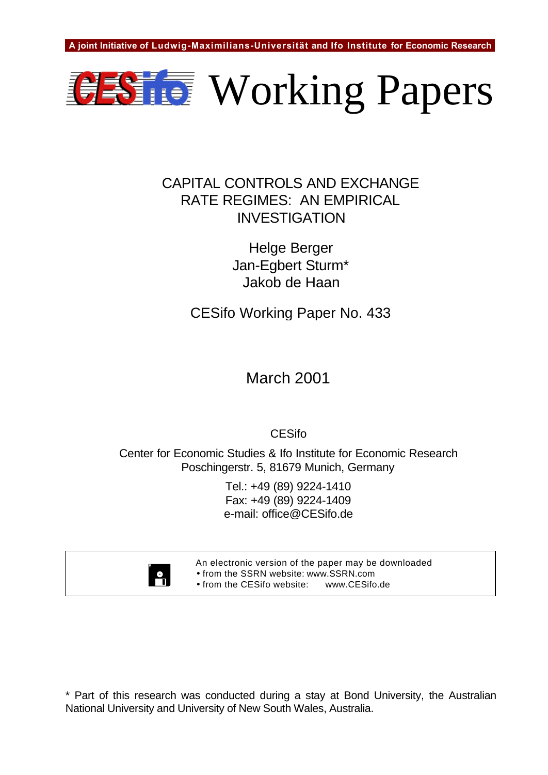

## CAPITAL CONTROLS AND EXCHANGE RATE REGIMES: AN EMPIRICAL INVESTIGATION

Helge Berger Jan-Egbert Sturm\* Jakob de Haan

CESifo Working Paper No. 433

March 2001

CESifo

Center for Economic Studies & Ifo Institute for Economic Research Poschingerstr. 5, 81679 Munich, Germany

> Tel.: +49 (89) 9224-1410 Fax: +49 (89) 9224-1409 e-mail: office@CESifo.de



An electronic version of the paper may be downloaded • from the SSRN website: www.SSRN.com

• from the CESifo website: www.CESifo.de

\* Part of this research was conducted during a stay at Bond University, the Australian National University and University of New South Wales, Australia.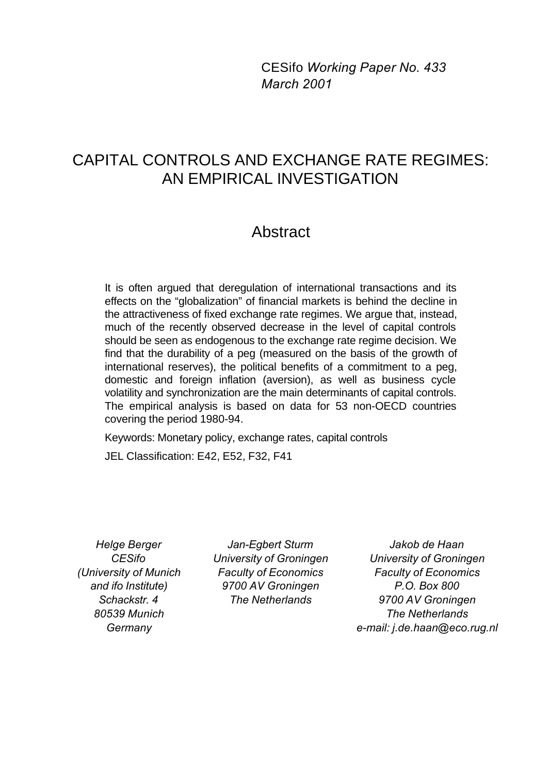CESifo *Working Paper No. 433 March 2001*

# CAPITAL CONTROLS AND EXCHANGE RATE REGIMES: AN EMPIRICAL INVESTIGATION

## Abstract

It is often argued that deregulation of international transactions and its effects on the "globalization" of financial markets is behind the decline in the attractiveness of fixed exchange rate regimes. We argue that, instead, much of the recently observed decrease in the level of capital controls should be seen as endogenous to the exchange rate regime decision. We find that the durability of a peg (measured on the basis of the growth of international reserves), the political benefits of a commitment to a peg, domestic and foreign inflation (aversion), as well as business cycle volatility and synchronization are the main determinants of capital controls. The empirical analysis is based on data for 53 non-OECD countries covering the period 1980-94.

Keywords: Monetary policy, exchange rates, capital controls

JEL Classification: E42, E52, F32, F41

*Helge Berger CESifo (University of Munich and ifo Institute) Schackstr. 4 80539 Munich Germany*

*Jan-Egbert Sturm University of Groningen Faculty of Economics 9700 AV Groningen The Netherlands*

*Jakob de Haan University of Groningen Faculty of Economics P.O. Box 800 9700 AV Groningen The Netherlands e-mail: j.de.haan@eco.rug.nl*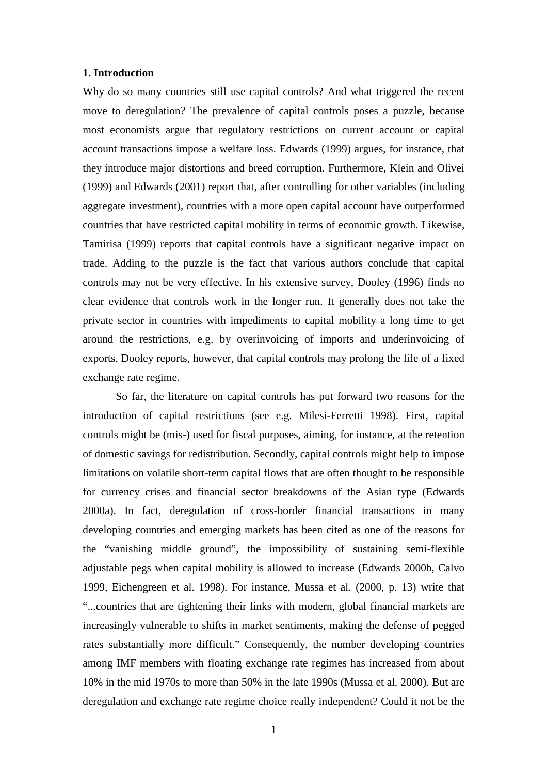#### **1. Introduction**

Why do so many countries still use capital controls? And what triggered the recent move to deregulation? The prevalence of capital controls poses a puzzle, because most economists argue that regulatory restrictions on current account or capital account transactions impose a welfare loss. Edwards (1999) argues, for instance, that they introduce major distortions and breed corruption. Furthermore, Klein and Olivei (1999) and Edwards (2001) report that, after controlling for other variables (including aggregate investment), countries with a more open capital account have outperformed countries that have restricted capital mobility in terms of economic growth. Likewise, Tamirisa (1999) reports that capital controls have a significant negative impact on trade. Adding to the puzzle is the fact that various authors conclude that capital controls may not be very effective. In his extensive survey, Dooley (1996) finds no clear evidence that controls work in the longer run. It generally does not take the private sector in countries with impediments to capital mobility a long time to get around the restrictions, e.g. by overinvoicing of imports and underinvoicing of exports. Dooley reports, however, that capital controls may prolong the life of a fixed exchange rate regime.

So far, the literature on capital controls has put forward two reasons for the introduction of capital restrictions (see e.g. Milesi-Ferretti 1998). First, capital controls might be (mis-) used for fiscal purposes, aiming, for instance, at the retention of domestic savings for redistribution. Secondly, capital controls might help to impose limitations on volatile short-term capital flows that are often thought to be responsible for currency crises and financial sector breakdowns of the Asian type (Edwards 2000a). In fact, deregulation of cross-border financial transactions in many developing countries and emerging markets has been cited as one of the reasons for the "vanishing middle ground", the impossibility of sustaining semi-flexible adjustable pegs when capital mobility is allowed to increase (Edwards 2000b, Calvo 1999, Eichengreen et al. 1998). For instance, Mussa et al. (2000, p. 13) write that "...countries that are tightening their links with modern, global financial markets are increasingly vulnerable to shifts in market sentiments, making the defense of pegged rates substantially more difficult." Consequently, the number developing countries among IMF members with floating exchange rate regimes has increased from about 10% in the mid 1970s to more than 50% in the late 1990s (Mussa et al. 2000). But are deregulation and exchange rate regime choice really independent? Could it not be the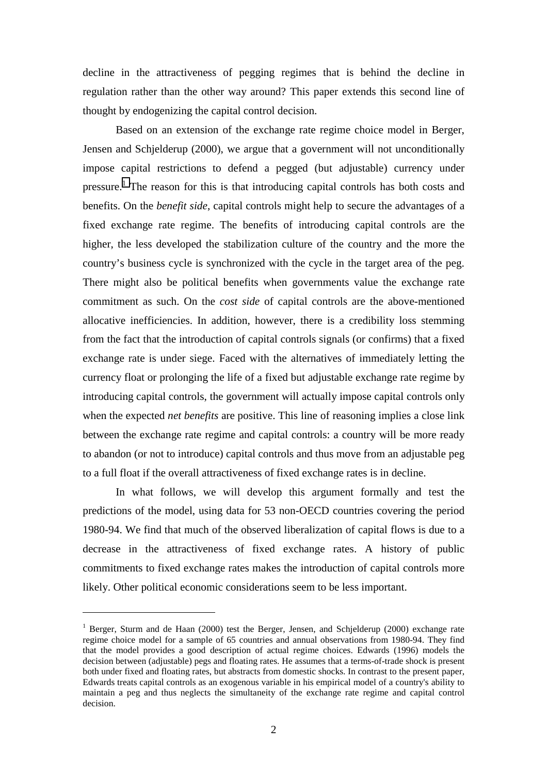decline in the attractiveness of pegging regimes that is behind the decline in regulation rather than the other way around? This paper extends this second line of thought by endogenizing the capital control decision.

Based on an extension of the exchange rate regime choice model in Berger, Jensen and Schjelderup (2000), we argue that a government will not unconditionally impose capital restrictions to defend a pegged (but adjustable) currency under pressure.<sup>1</sup> The reason for this is that introducing capital controls has both costs and benefits. On the *benefit side*, capital controls might help to secure the advantages of a fixed exchange rate regime. The benefits of introducing capital controls are the higher, the less developed the stabilization culture of the country and the more the country's business cycle is synchronized with the cycle in the target area of the peg. There might also be political benefits when governments value the exchange rate commitment as such. On the *cost side* of capital controls are the above-mentioned allocative inefficiencies. In addition, however, there is a credibility loss stemming from the fact that the introduction of capital controls signals (or confirms) that a fixed exchange rate is under siege. Faced with the alternatives of immediately letting the currency float or prolonging the life of a fixed but adjustable exchange rate regime by introducing capital controls, the government will actually impose capital controls only when the expected *net benefits* are positive. This line of reasoning implies a close link between the exchange rate regime and capital controls: a country will be more ready to abandon (or not to introduce) capital controls and thus move from an adjustable peg to a full float if the overall attractiveness of fixed exchange rates is in decline.

In what follows, we will develop this argument formally and test the predictions of the model, using data for 53 non-OECD countries covering the period 1980-94. We find that much of the observed liberalization of capital flows is due to a decrease in the attractiveness of fixed exchange rates. A history of public commitments to fixed exchange rates makes the introduction of capital controls more likely. Other political economic considerations seem to be less important.

<sup>&</sup>lt;sup>1</sup> Berger, Sturm and de Haan (2000) test the Berger, Jensen, and Schjelderup (2000) exchange rate regime choice model for a sample of 65 countries and annual observations from 1980-94. They find that the model provides a good description of actual regime choices. Edwards (1996) models the decision between (adjustable) pegs and floating rates. He assumes that a terms-of-trade shock is present both under fixed and floating rates, but abstracts from domestic shocks. In contrast to the present paper, Edwards treats capital controls as an exogenous variable in his empirical model of a country's ability to maintain a peg and thus neglects the simultaneity of the exchange rate regime and capital control decision.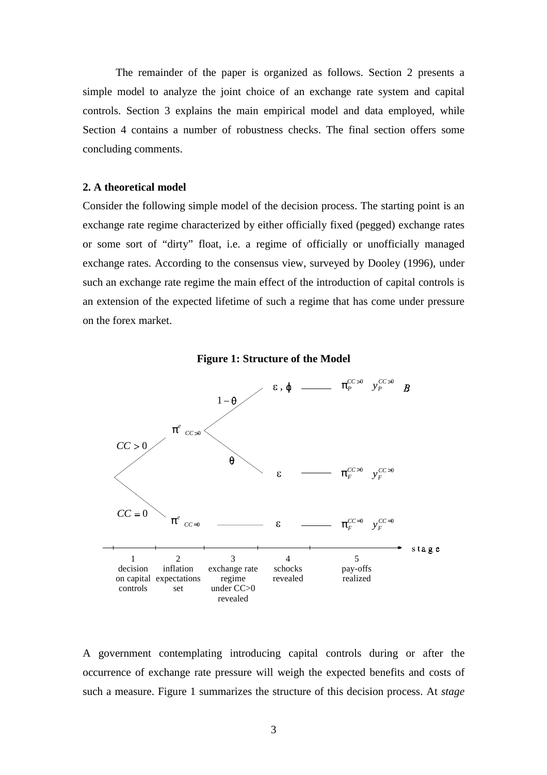The remainder of the paper is organized as follows. Section 2 presents a simple model to analyze the joint choice of an exchange rate system and capital controls. Section 3 explains the main empirical model and data employed, while Section 4 contains a number of robustness checks. The final section offers some concluding comments.

#### **2. A theoretical model**

Consider the following simple model of the decision process. The starting point is an exchange rate regime characterized by either officially fixed (pegged) exchange rates or some sort of "dirty" float, i.e. a regime of officially or unofficially managed exchange rates. According to the consensus view, surveyed by Dooley (1996), under such an exchange rate regime the main effect of the introduction of capital controls is an extension of the expected lifetime of such a regime that has come under pressure on the forex market.





A government contemplating introducing capital controls during or after the occurrence of exchange rate pressure will weigh the expected benefits and costs of such a measure. Figure 1 summarizes the structure of this decision process. At *stage*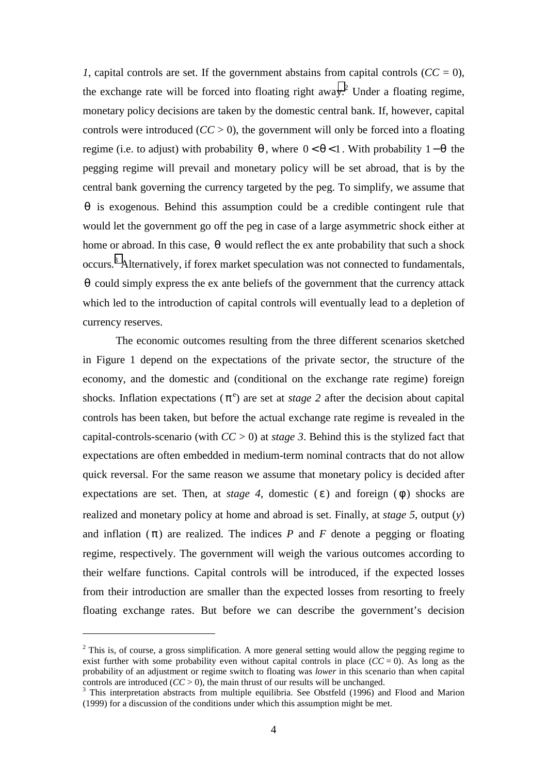*1*, capital controls are set. If the government abstains from capital controls  $(CC = 0)$ , the exchange rate will be forced into floating right away.<sup>2</sup> Under a floating regime, monetary policy decisions are taken by the domestic central bank. If, however, capital controls were introduced  $(CC > 0)$ , the government will only be forced into a floating regime (i.e. to adjust) with probability  $\theta$ , where  $0 < \theta < 1$ . With probability  $1-\theta$  the pegging regime will prevail and monetary policy will be set abroad, that is by the central bank governing the currency targeted by the peg. To simplify, we assume that  $\theta$  is exogenous. Behind this assumption could be a credible contingent rule that would let the government go off the peg in case of a large asymmetric shock either at home or abroad. In this case,  $\theta$  would reflect the ex ante probability that such a shock occurs.<sup>3</sup> Alternatively, if forex market speculation was not connected to fundamentals,  $\theta$  could simply express the ex ante beliefs of the government that the currency attack which led to the introduction of capital controls will eventually lead to a depletion of currency reserves.

The economic outcomes resulting from the three different scenarios sketched in Figure 1 depend on the expectations of the private sector, the structure of the economy, and the domestic and (conditional on the exchange rate regime) foreign shocks. Inflation expectations ( $\pi$ <sup>e</sup>) are set at *stage 2* after the decision about capital controls has been taken, but before the actual exchange rate regime is revealed in the capital-controls-scenario (with *CC* > 0) at *stage 3*. Behind this is the stylized fact that expectations are often embedded in medium-term nominal contracts that do not allow quick reversal. For the same reason we assume that monetary policy is decided after expectations are set. Then, at *stage 4*, domestic  $(\epsilon)$  and foreign  $(\phi)$  shocks are realized and monetary policy at home and abroad is set. Finally, at *stage 5*, output (*y*) and inflation  $(\pi)$  are realized. The indices *P* and *F* denote a pegging or floating regime, respectively. The government will weigh the various outcomes according to their welfare functions. Capital controls will be introduced, if the expected losses from their introduction are smaller than the expected losses from resorting to freely floating exchange rates. But before we can describe the government's decision

 $2$  This is, of course, a gross simplification. A more general setting would allow the pegging regime to exist further with some probability even without capital controls in place  $(CC = 0)$ . As long as the probability of an adjustment or regime switch to floating was *lower* in this scenario than when capital controls are introduced  $(CC > 0)$ , the main thrust of our results will be unchanged.

<sup>&</sup>lt;sup>3</sup> This interpretation abstracts from multiple equilibria. See Obstfeld (1996) and Flood and Marion (1999) for a discussion of the conditions under which this assumption might be met.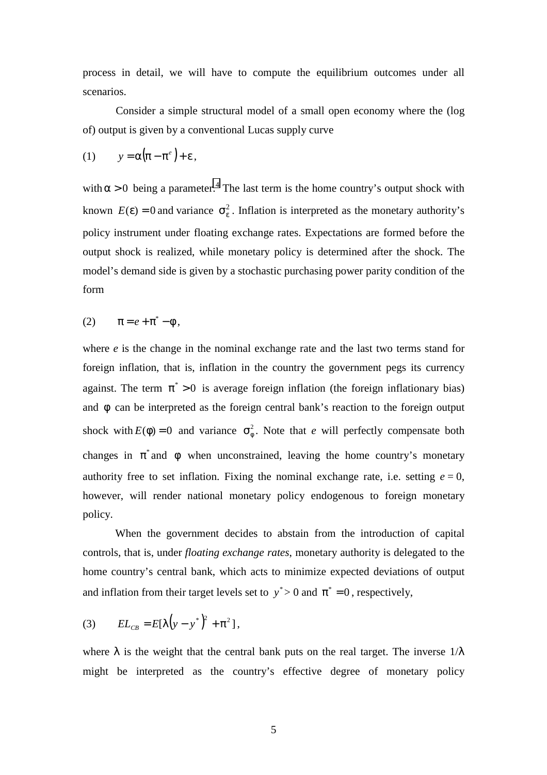process in detail, we will have to compute the equilibrium outcomes under all scenarios.

Consider a simple structural model of a small open economy where the (log of) output is given by a conventional Lucas supply curve

$$
(1) \t y = \alpha (\pi - \pi^e) + \varepsilon,
$$

with  $\alpha > 0$  being a parameter.<sup>4</sup> The last term is the home country's output shock with known  $E(\varepsilon) = 0$  and variance  $\sigma_{\varepsilon}^2$ . Inflation is interpreted as the monetary authority's policy instrument under floating exchange rates. Expectations are formed before the output shock is realized, while monetary policy is determined after the shock. The model's demand side is given by a stochastic purchasing power parity condition of the form

$$
(2) \qquad \pi = e + \pi^* - \phi ,
$$

where *e* is the change in the nominal exchange rate and the last two terms stand for foreign inflation, that is, inflation in the country the government pegs its currency against. The term  $\pi$  > 0 is average foreign inflation (the foreign inflationary bias) and  $\phi$  can be interpreted as the foreign central bank's reaction to the foreign output shock with  $E(\phi) = 0$  and variance  $\sigma_a^2$ . Note that *e* will perfectly compensate both changes in  $\pi^*$  and  $\phi$  when unconstrained, leaving the home country's monetary authority free to set inflation. Fixing the nominal exchange rate, i.e. setting  $e = 0$ , however, will render national monetary policy endogenous to foreign monetary policy.

When the government decides to abstain from the introduction of capital controls, that is, under *floating exchange rates*, monetary authority is delegated to the home country's central bank, which acts to minimize expected deviations of output and inflation from their target levels set to  $y^* > 0$  and  $\pi^* = 0$ , respectively,

(3) 
$$
EL_{CB} = E[\lambda (y - y^*)^2 + \pi^2],
$$

where  $\lambda$  is the weight that the central bank puts on the real target. The inverse  $1/\lambda$ might be interpreted as the country's effective degree of monetary policy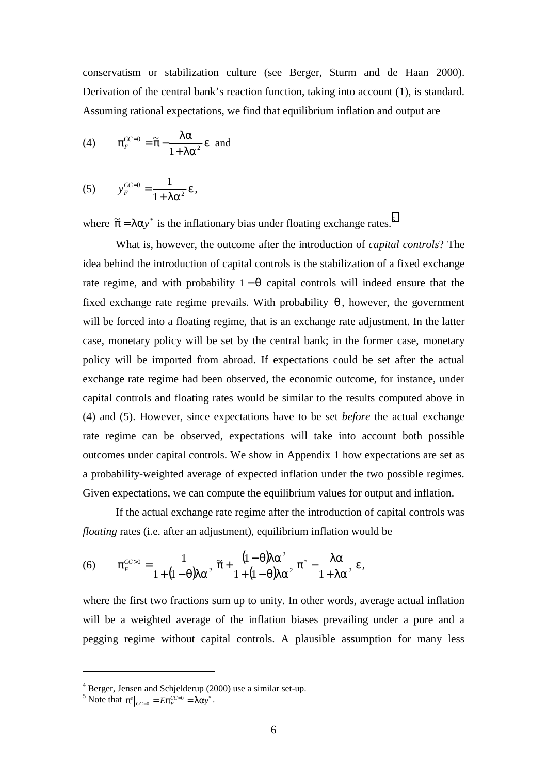conservatism or stabilization culture (see Berger, Sturm and de Haan 2000). Derivation of the central bank's reaction function, taking into account (1), is standard. Assuming rational expectations, we find that equilibrium inflation and output are

(4) 
$$
\pi_F^{CC=0} = \widetilde{\pi} - \frac{\lambda \alpha}{1 + \lambda \alpha^2} \varepsilon \text{ and}
$$

(5) 
$$
y_F^{CC=0} = \frac{1}{1 + \lambda \alpha^2} \varepsilon,
$$

where  $\tilde{\pi} = \lambda \alpha y^*$  is the inflationary bias under floating exchange rates.<sup>5</sup>

What is, however, the outcome after the introduction of *capital controls*? The idea behind the introduction of capital controls is the stabilization of a fixed exchange rate regime, and with probability  $1-\theta$  capital controls will indeed ensure that the fixed exchange rate regime prevails. With probability  $\theta$ , however, the government will be forced into a floating regime, that is an exchange rate adjustment. In the latter case, monetary policy will be set by the central bank; in the former case, monetary policy will be imported from abroad. If expectations could be set after the actual exchange rate regime had been observed, the economic outcome, for instance, under capital controls and floating rates would be similar to the results computed above in (4) and (5). However, since expectations have to be set *before* the actual exchange rate regime can be observed, expectations will take into account both possible outcomes under capital controls. We show in Appendix 1 how expectations are set as a probability-weighted average of expected inflation under the two possible regimes. Given expectations, we can compute the equilibrium values for output and inflation.

If the actual exchange rate regime after the introduction of capital controls was *floating rates (i.e. after an adjustment), equilibrium inflation would be* 

(6) 
$$
\pi_F^{CC>0} = \frac{1}{1 + (1 - \theta)\lambda\alpha^2} \widetilde{\pi} + \frac{(1 - \theta)\lambda\alpha^2}{1 + (1 - \theta)\lambda\alpha^2} \pi^* - \frac{\lambda\alpha}{1 + \lambda\alpha^2} \varepsilon,
$$

where the first two fractions sum up to unity. In other words, average actual inflation will be a weighted average of the inflation biases prevailing under a pure and a pegging regime without capital controls. A plausible assumption for many less

<sup>&</sup>lt;sup>4</sup> Berger, Jensen and Schjelderup (2000) use a similar set-up.<br><sup>5</sup> Note that  $\pi^e|_{CC=0} = E \pi_F^{CC=0} = \lambda \alpha y^*$ .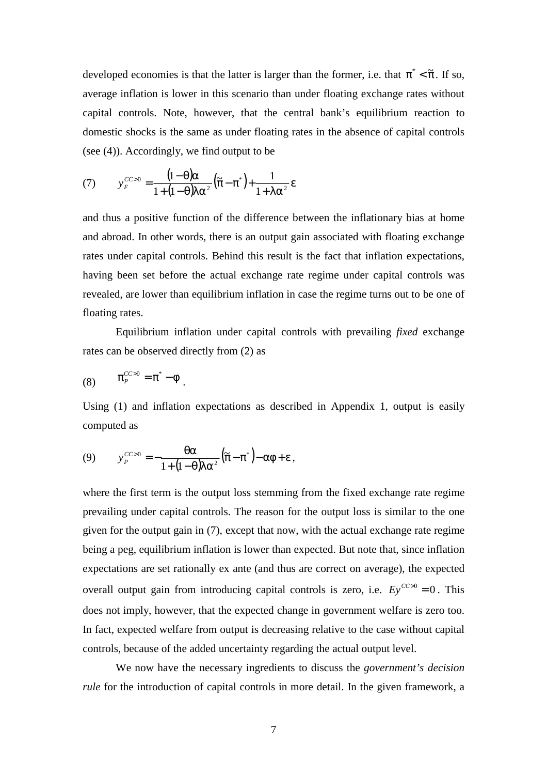developed economies is that the latter is larger than the former, i.e. that  $\pi^* < \tilde{\pi}$ . If so, average inflation is lower in this scenario than under floating exchange rates without capital controls. Note, however, that the central bank's equilibrium reaction to domestic shocks is the same as under floating rates in the absence of capital controls (see (4)). Accordingly, we find output to be

(7) 
$$
y_F^{CC>0} = \frac{(1-\theta)\alpha}{1+(1-\theta)\alpha^2} (\tilde{\pi} - \pi^*) + \frac{1}{1+\lambda\alpha^2} \varepsilon
$$

and thus a positive function of the difference between the inflationary bias at home and abroad. In other words, there is an output gain associated with floating exchange rates under capital controls. Behind this result is the fact that inflation expectations, having been set before the actual exchange rate regime under capital controls was revealed, are lower than equilibrium inflation in case the regime turns out to be one of floating rates.

Equilibrium inflation under capital controls with prevailing *fixed* exchange rates can be observed directly from (2) as

$$
(8) \qquad \pi_P^{CC>0} = \pi^* - \phi
$$

Using (1) and inflation expectations as described in Appendix 1, output is easily computed as

$$
(9) \qquad y_P^{CC>0} = -\frac{\theta \alpha}{1 + (1 - \theta)\lambda \alpha^2} \left(\tilde{\pi} - \pi^*\right) - \alpha \phi + \varepsilon,
$$

where the first term is the output loss stemming from the fixed exchange rate regime prevailing under capital controls. The reason for the output loss is similar to the one given for the output gain in (7), except that now, with the actual exchange rate regime being a peg, equilibrium inflation is lower than expected. But note that, since inflation expectations are set rationally ex ante (and thus are correct on average), the expected overall output gain from introducing capital controls is zero, i.e.  $Ey^{CC>0} = 0$ . This does not imply, however, that the expected change in government welfare is zero too. In fact, expected welfare from output is decreasing relative to the case without capital controls, because of the added uncertainty regarding the actual output level.

We now have the necessary ingredients to discuss the *government's decision rule* for the introduction of capital controls in more detail. In the given framework, a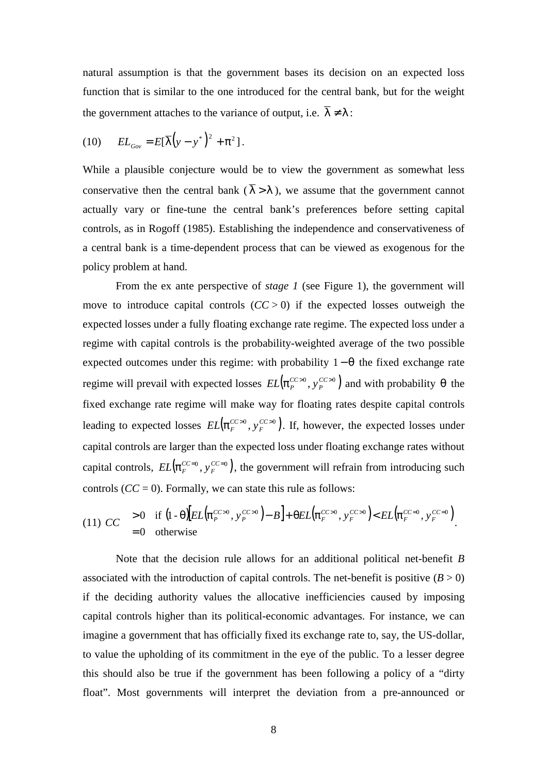natural assumption is that the government bases its decision on an expected loss function that is similar to the one introduced for the central bank, but for the weight the government attaches to the variance of output, i.e.  $\overline{\lambda} \neq \lambda$ :

$$
(10) \qquad EL_{Gov} = E[\overline{\lambda}(y - y^*)^2 + \pi^2].
$$

While a plausible conjecture would be to view the government as somewhat less conservative then the central bank ( $\overline{\lambda} > \lambda$ ), we assume that the government cannot actually vary or fine-tune the central bank's preferences before setting capital controls, as in Rogoff (1985). Establishing the independence and conservativeness of a central bank is a time-dependent process that can be viewed as exogenous for the policy problem at hand.

From the ex ante perspective of *stage 1* (see Figure 1), the government will move to introduce capital controls  $(CC > 0)$  if the expected losses outweigh the expected losses under a fully floating exchange rate regime. The expected loss under a regime with capital controls is the probability-weighted average of the two possible expected outcomes under this regime: with probability  $1-\theta$  the fixed exchange rate regime will prevail with expected losses  $EL(\pi_F^{CC>0}, y_P^{CC>0})$ *EL*( $\pi_P^{CC>0}$ ,  $y_P^{CC>0}$ ) and with probability θ the fixed exchange rate regime will make way for floating rates despite capital controls leading to expected losses  $\; EL\big(\pi_{\scriptscriptstyle F}^{\scriptscriptstyle CC>0} , y_{\scriptscriptstyle F}^{\scriptscriptstyle CC>0}\big)$  $EL(\pi_F^{CC>0}, y_F^{CC>0})$ . If, however, the expected losses under capital controls are larger than the expected loss under floating exchange rates without capital controls,  $EL(\pi_F^{CC=0}, y_F^{CC=0})$  $EL(\pi_F^{CC=0}, y_F^{CC=0})$ , the government will refrain from introducing such controls  $(CC = 0)$ . Formally, we can state this rule as follows:

$$
(11) CC\begin{cases} > 0 \quad \text{if } \left(1-\theta\right) \left[ EL\left(\pi_F^{CC>0}, y_F^{CC>0}\right) - B\right] + \theta EL\left(\pi_F^{CC>0}, y_F^{CC>0}\right) < EL\left(\pi_F^{CC>0}, y_F^{CC>0}\right) \\ = 0 \quad \text{otherwise} \end{cases}.
$$

Note that the decision rule allows for an additional political net-benefit *B* associated with the introduction of capital controls. The net-benefit is positive  $(B > 0)$ if the deciding authority values the allocative inefficiencies caused by imposing capital controls higher than its political-economic advantages. For instance, we can imagine a government that has officially fixed its exchange rate to, say, the US-dollar, to value the upholding of its commitment in the eye of the public. To a lesser degree this should also be true if the government has been following a policy of a "dirty float". Most governments will interpret the deviation from a pre-announced or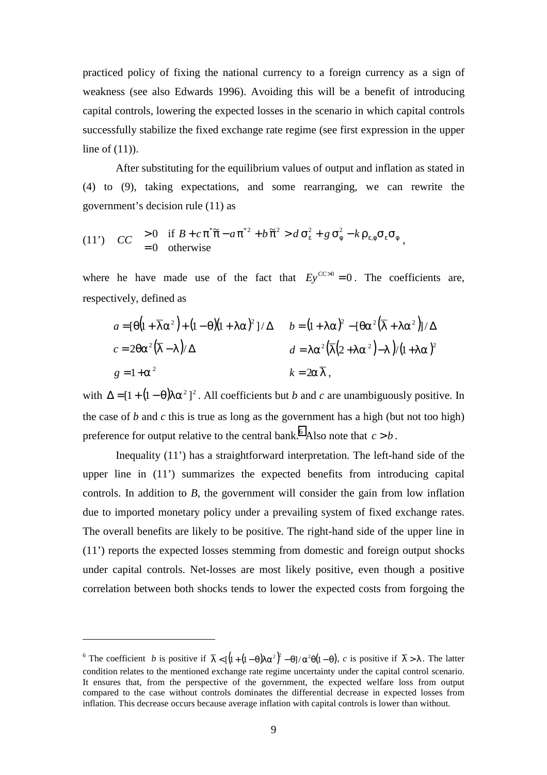practiced policy of fixing the national currency to a foreign currency as a sign of weakness (see also Edwards 1996). Avoiding this will be a benefit of introducing capital controls, lowering the expected losses in the scenario in which capital controls successfully stabilize the fixed exchange rate regime (see first expression in the upper line of (11)).

After substituting for the equilibrium values of output and inflation as stated in (4) to (9), taking expectations, and some rearranging, we can rewrite the government's decision rule (11) as

(11') 
$$
CC \begin{cases} > 0 & \text{if } B + c\pi^* \tilde{\pi} - a\pi^{*2} + b\tilde{\pi}^2 > d\sigma_{\varepsilon}^2 + g\sigma_{\phi}^2 - k\rho_{\varepsilon,\phi}\sigma_{\varepsilon}\sigma_{\phi} \\ = 0 & \text{otherwise} \end{cases}
$$

where he have made use of the fact that  $Ev^{CC>0} = 0$ . The coefficients are, respectively, defined as

$$
a = [\theta(1 + \overline{\lambda}\alpha^2) + (1 - \theta)(1 + \lambda\alpha)^2]/\Delta \qquad b = (1 + \lambda\alpha)^2 - [\theta\alpha^2(\overline{\lambda} + \lambda\alpha^2)]/\Delta
$$
  
\n
$$
c = 2\theta\alpha^2(\overline{\lambda} - \lambda)/\Delta \qquad d = \lambda\alpha^2(\overline{\lambda}(2 + \lambda\alpha^2) - \lambda)/(1 + \lambda\alpha)^2
$$
  
\n
$$
g = 1 + \alpha^2 \qquad k = 2\alpha\overline{\lambda},
$$

with  $\Delta = [1 + (1 - \theta)\lambda \alpha^2]^2$ . All coefficients but *b* and *c* are unambiguously positive. In the case of *b* and *c* this is true as long as the government has a high (but not too high) preference for output relative to the central bank.<sup>6</sup> Also note that  $c > b$ .

Inequality (11') has a straightforward interpretation. The left-hand side of the upper line in (11') summarizes the expected benefits from introducing capital controls. In addition to *B*, the government will consider the gain from low inflation due to imported monetary policy under a prevailing system of fixed exchange rates. The overall benefits are likely to be positive. The right-hand side of the upper line in (11') reports the expected losses stemming from domestic and foreign output shocks under capital controls. Net-losses are most likely positive, even though a positive correlation between both shocks tends to lower the expected costs from forgoing the

<sup>&</sup>lt;sup>6</sup> The coefficient *b* is positive if  $\overline{\lambda} < [\sqrt{1 + (1 - \theta)\lambda \alpha^2}]^2 - \theta / \alpha^2 \theta (1 - \theta)$ , *c* is positive if  $\overline{\lambda} > \lambda$ . The latter condition relates to the mentioned exchange rate regime uncertainty under the capital control scenario. It ensures that, from the perspective of the government, the expected welfare loss from output compared to the case without controls dominates the differential decrease in expected losses from inflation. This decrease occurs because average inflation with capital controls is lower than without.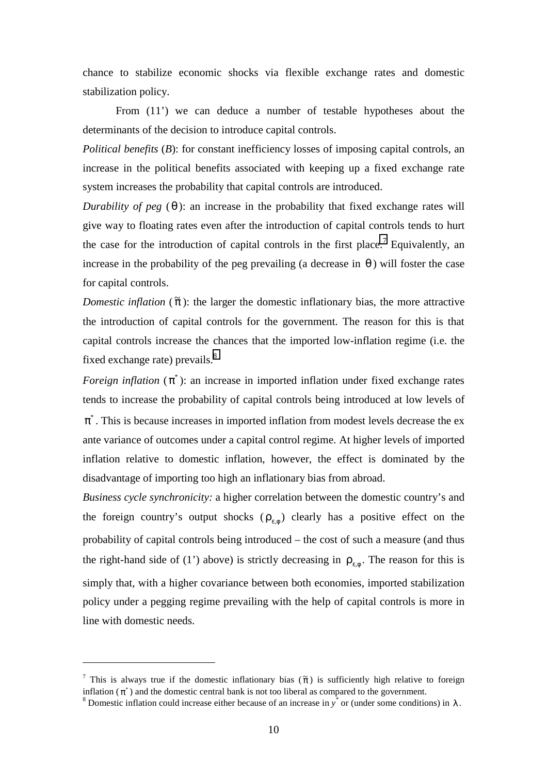chance to stabilize economic shocks via flexible exchange rates and domestic stabilization policy.

From (11') we can deduce a number of testable hypotheses about the determinants of the decision to introduce capital controls.

*Political benefits (B)*: for constant inefficiency losses of imposing capital controls, an increase in the political benefits associated with keeping up a fixed exchange rate system increases the probability that capital controls are introduced.

*Durability of peg*  $(\theta)$ : an increase in the probability that fixed exchange rates will give way to floating rates even after the introduction of capital controls tends to hurt the case for the introduction of capital controls in the first place.<sup>7</sup> Equivalently, an increase in the probability of the peg prevailing (a decrease in  $\theta$ ) will foster the case for capital controls.

*Domestic inflation* ( $\tilde{\pi}$ ): the larger the domestic inflationary bias, the more attractive the introduction of capital controls for the government. The reason for this is that capital controls increase the chances that the imported low-inflation regime (i.e. the fixed exchange rate) prevails.<sup>8</sup>

*Foreign inflation*  $(\pi^*)$ : an increase in imported inflation under fixed exchange rates tends to increase the probability of capital controls being introduced at low levels of  $\pi^*$ . This is because increases in imported inflation from modest levels decrease the ex ante variance of outcomes under a capital control regime. At higher levels of imported inflation relative to domestic inflation, however, the effect is dominated by the disadvantage of importing too high an inflationary bias from abroad.

*Business cycle synchronicity:* a higher correlation between the domestic country's and the foreign country's output shocks  $(\rho_{\varepsilon_0})$  clearly has a positive effect on the probability of capital controls being introduced – the cost of such a measure (and thus the right-hand side of (1') above) is strictly decreasing in  $\rho_{\varepsilon,\phi}$ . The reason for this is simply that, with a higher covariance between both economies, imported stabilization policy under a pegging regime prevailing with the help of capital controls is more in line with domestic needs.

<sup>&</sup>lt;sup>7</sup> This is always true if the domestic inflationary bias ( $\tilde{\pi}$ ) is sufficiently high relative to foreign inflation  $(\pi^*)$  and the domestic central bank is not too liberal as compared to the government.

Domestic inflation could increase either because of an increase in  $y^*$  or (under some conditions) in  $\lambda$ .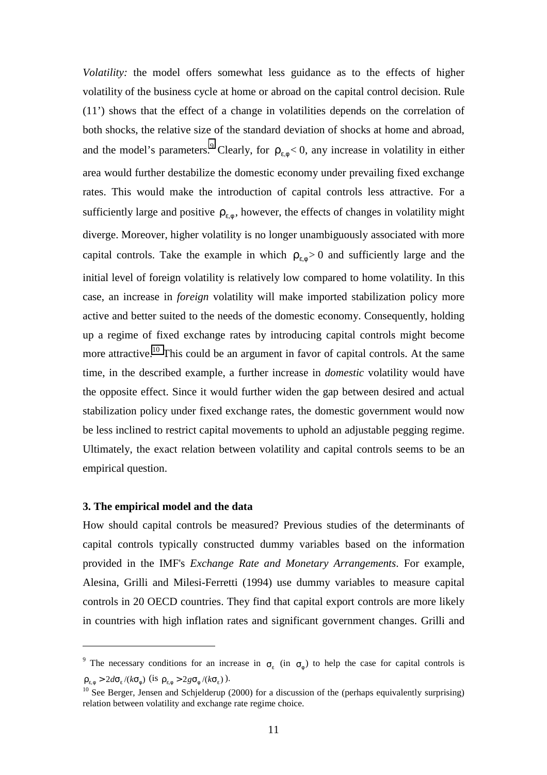*Volatility:* the model offers somewhat less guidance as to the effects of higher volatility of the business cycle at home or abroad on the capital control decision. Rule (11') shows that the effect of a change in volatilities depends on the correlation of both shocks, the relative size of the standard deviation of shocks at home and abroad, and the model's parameters.<sup>9</sup> Clearly, for  $\rho_{\varepsilon,\phi}$  < 0, any increase in volatility in either area would further destabilize the domestic economy under prevailing fixed exchange rates. This would make the introduction of capital controls less attractive. For a sufficiently large and positive  $\rho_{\varepsilon_0}$ , however, the effects of changes in volatility might diverge. Moreover, higher volatility is no longer unambiguously associated with more capital controls. Take the example in which  $\rho_{\varepsilon,\phi} > 0$  and sufficiently large and the initial level of foreign volatility is relatively low compared to home volatility. In this case, an increase in *foreign* volatility will make imported stabilization policy more active and better suited to the needs of the domestic economy. Consequently, holding up a regime of fixed exchange rates by introducing capital controls might become more attractive.<sup>10</sup> This could be an argument in favor of capital controls. At the same time, in the described example, a further increase in *domestic* volatility would have the opposite effect. Since it would further widen the gap between desired and actual stabilization policy under fixed exchange rates, the domestic government would now be less inclined to restrict capital movements to uphold an adjustable pegging regime. Ultimately, the exact relation between volatility and capital controls seems to be an empirical question.

#### **3. The empirical model and the data**

 $\overline{a}$ 

How should capital controls be measured? Previous studies of the determinants of capital controls typically constructed dummy variables based on the information provided in the IMF's *Exchange Rate and Monetary Arrangements*. For example, Alesina, Grilli and Milesi-Ferretti (1994) use dummy variables to measure capital controls in 20 OECD countries. They find that capital export controls are more likely in countries with high inflation rates and significant government changes. Grilli and

<sup>&</sup>lt;sup>9</sup> The necessary conditions for an increase in  $\sigma_{\epsilon}$  (in  $\sigma_{\phi}$ ) to help the case for capital controls is  $\rho_{\varepsilon,\phi} > 2d\sigma_{\varepsilon}/(k\sigma_{\phi})$  (is  $\rho_{\varepsilon,\phi} > 2g\sigma_{\phi}/(k\sigma_{\varepsilon})$ ).

 $10$  See Berger, Jensen and Schjelderup (2000) for a discussion of the (perhaps equivalently surprising) relation between volatility and exchange rate regime choice.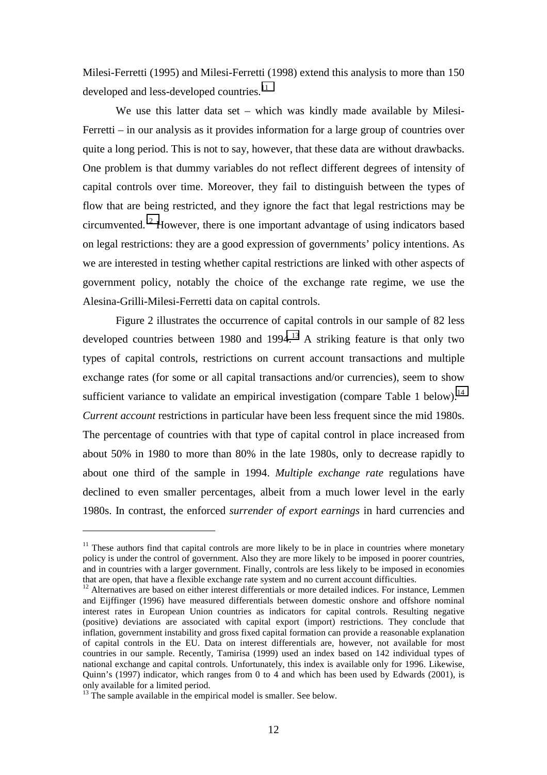Milesi-Ferretti (1995) and Milesi-Ferretti (1998) extend this analysis to more than 150 developed and less-developed countries.<sup>11</sup>

We use this latter data set – which was kindly made available by Milesi-Ferretti – in our analysis as it provides information for a large group of countries over quite a long period. This is not to say, however, that these data are without drawbacks. One problem is that dummy variables do not reflect different degrees of intensity of capital controls over time. Moreover, they fail to distinguish between the types of flow that are being restricted, and they ignore the fact that legal restrictions may be circumvented.12 However, there is one important advantage of using indicators based on legal restrictions: they are a good expression of governments' policy intentions. As we are interested in testing whether capital restrictions are linked with other aspects of government policy, notably the choice of the exchange rate regime, we use the Alesina-Grilli-Milesi-Ferretti data on capital controls.

Figure 2 illustrates the occurrence of capital controls in our sample of 82 less developed countries between 1980 and 1994.<sup>13</sup> A striking feature is that only two types of capital controls, restrictions on current account transactions and multiple exchange rates (for some or all capital transactions and/or currencies), seem to show sufficient variance to validate an empirical investigation (compare Table 1 below).<sup>14</sup> *Current account* restrictions in particular have been less frequent since the mid 1980s. The percentage of countries with that type of capital control in place increased from about 50% in 1980 to more than 80% in the late 1980s, only to decrease rapidly to about one third of the sample in 1994. *Multiple exchange rate* regulations have declined to even smaller percentages, albeit from a much lower level in the early 1980s. In contrast, the enforced *surrender of export earnings* in hard currencies and

 $11$  These authors find that capital controls are more likely to be in place in countries where monetary policy is under the control of government. Also they are more likely to be imposed in poorer countries, and in countries with a larger government. Finally, controls are less likely to be imposed in economies that are open, that have a flexible exchange rate system and no current account difficulties.

 $12$  Alternatives are based on either interest differentials or more detailed indices. For instance, Lemmen and Eijffinger (1996) have measured differentials between domestic onshore and offshore nominal interest rates in European Union countries as indicators for capital controls. Resulting negative (positive) deviations are associated with capital export (import) restrictions. They conclude that inflation, government instability and gross fixed capital formation can provide a reasonable explanation of capital controls in the EU. Data on interest differentials are, however, not available for most countries in our sample. Recently, Tamirisa (1999) used an index based on 142 individual types of national exchange and capital controls. Unfortunately, this index is available only for 1996. Likewise, Quinn's (1997) indicator, which ranges from 0 to 4 and which has been used by Edwards (2001), is only available for a limited period.

<sup>&</sup>lt;sup>13</sup> The sample available in the empirical model is smaller. See below.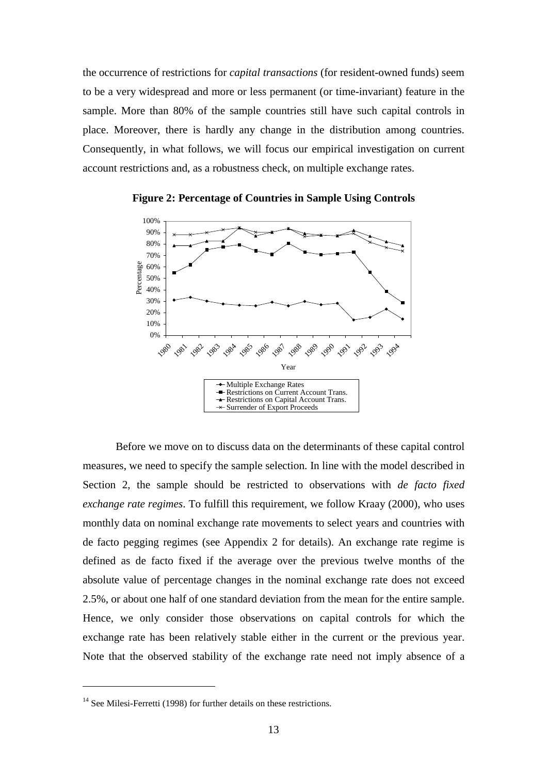the occurrence of restrictions for *capital transactions* (for resident-owned funds) seem to be a very widespread and more or less permanent (or time-invariant) feature in the sample. More than 80% of the sample countries still have such capital controls in place. Moreover, there is hardly any change in the distribution among countries. Consequently, in what follows, we will focus our empirical investigation on current account restrictions and, as a robustness check, on multiple exchange rates.



**Figure 2: Percentage of Countries in Sample Using Controls**

Before we move on to discuss data on the determinants of these capital control measures, we need to specify the sample selection. In line with the model described in Section 2, the sample should be restricted to observations with *de facto fixed exchange rate regimes*. To fulfill this requirement, we follow Kraay (2000), who uses monthly data on nominal exchange rate movements to select years and countries with de facto pegging regimes (see Appendix 2 for details). An exchange rate regime is defined as de facto fixed if the average over the previous twelve months of the absolute value of percentage changes in the nominal exchange rate does not exceed 2.5%, or about one half of one standard deviation from the mean for the entire sample. Hence, we only consider those observations on capital controls for which the exchange rate has been relatively stable either in the current or the previous year. Note that the observed stability of the exchange rate need not imply absence of a

<sup>&</sup>lt;sup>14</sup> See Milesi-Ferretti (1998) for further details on these restrictions.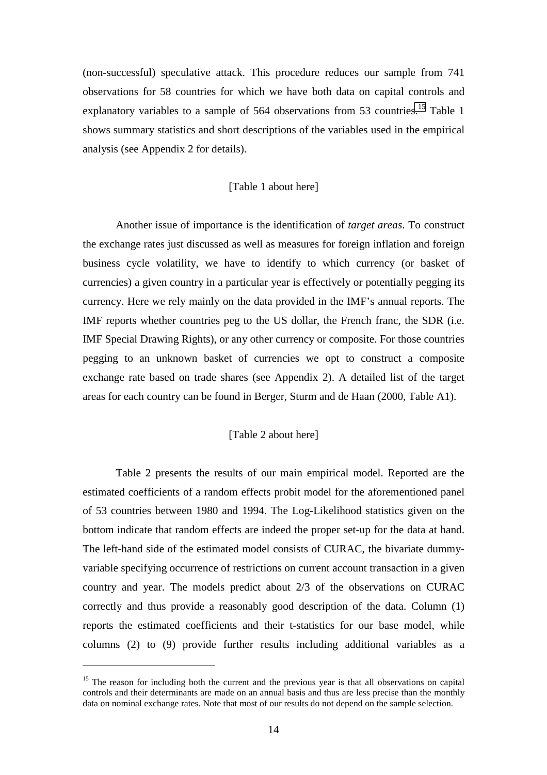(non-successful) speculative attack. This procedure reduces our sample from 741 observations for 58 countries for which we have both data on capital controls and explanatory variables to a sample of  $564$  observations from  $53$  countries.<sup>15</sup> Table 1 shows summary statistics and short descriptions of the variables used in the empirical analysis (see Appendix 2 for details).

#### [Table 1 about here]

Another issue of importance is the identification of *target areas*. To construct the exchange rates just discussed as well as measures for foreign inflation and foreign business cycle volatility, we have to identify to which currency (or basket of currencies) a given country in a particular year is effectively or potentially pegging its currency. Here we rely mainly on the data provided in the IMF's annual reports. The IMF reports whether countries peg to the US dollar, the French franc, the SDR (i.e. IMF Special Drawing Rights), or any other currency or composite. For those countries pegging to an unknown basket of currencies we opt to construct a composite exchange rate based on trade shares (see Appendix 2). A detailed list of the target areas for each country can be found in Berger, Sturm and de Haan (2000, Table A1).

#### [Table 2 about here]

Table 2 presents the results of our main empirical model. Reported are the estimated coefficients of a random effects probit model for the aforementioned panel of 53 countries between 1980 and 1994. The Log-Likelihood statistics given on the bottom indicate that random effects are indeed the proper set-up for the data at hand. The left-hand side of the estimated model consists of CURAC, the bivariate dummyvariable specifying occurrence of restrictions on current account transaction in a given country and year. The models predict about 2/3 of the observations on CURAC correctly and thus provide a reasonably good description of the data. Column (1) reports the estimated coefficients and their t-statistics for our base model, while columns (2) to (9) provide further results including additional variables as a

<sup>&</sup>lt;sup>15</sup> The reason for including both the current and the previous year is that all observations on capital controls and their determinants are made on an annual basis and thus are less precise than the monthly data on nominal exchange rates. Note that most of our results do not depend on the sample selection.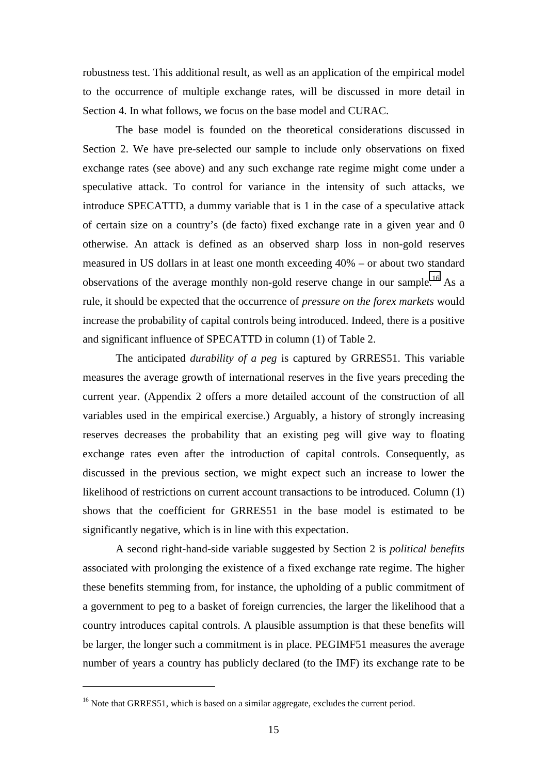robustness test. This additional result, as well as an application of the empirical model to the occurrence of multiple exchange rates, will be discussed in more detail in Section 4. In what follows, we focus on the base model and CURAC.

The base model is founded on the theoretical considerations discussed in Section 2. We have pre-selected our sample to include only observations on fixed exchange rates (see above) and any such exchange rate regime might come under a speculative attack. To control for variance in the intensity of such attacks, we introduce SPECATTD, a dummy variable that is 1 in the case of a speculative attack of certain size on a country's (de facto) fixed exchange rate in a given year and 0 otherwise. An attack is defined as an observed sharp loss in non-gold reserves measured in US dollars in at least one month exceeding 40% – or about two standard observations of the average monthly non-gold reserve change in our sample.<sup>16</sup> As a rule, it should be expected that the occurrence of *pressure on the forex markets* would increase the probability of capital controls being introduced. Indeed, there is a positive and significant influence of SPECATTD in column (1) of Table 2.

The anticipated *durability of a peg* is captured by GRRES51. This variable measures the average growth of international reserves in the five years preceding the current year. (Appendix 2 offers a more detailed account of the construction of all variables used in the empirical exercise.) Arguably, a history of strongly increasing reserves decreases the probability that an existing peg will give way to floating exchange rates even after the introduction of capital controls. Consequently, as discussed in the previous section, we might expect such an increase to lower the likelihood of restrictions on current account transactions to be introduced. Column (1) shows that the coefficient for GRRES51 in the base model is estimated to be significantly negative, which is in line with this expectation.

A second right-hand-side variable suggested by Section 2 is *political benefits* associated with prolonging the existence of a fixed exchange rate regime. The higher these benefits stemming from, for instance, the upholding of a public commitment of a government to peg to a basket of foreign currencies, the larger the likelihood that a country introduces capital controls. A plausible assumption is that these benefits will be larger, the longer such a commitment is in place. PEGIMF51 measures the average number of years a country has publicly declared (to the IMF) its exchange rate to be

<sup>&</sup>lt;sup>16</sup> Note that GRRES51, which is based on a similar aggregate, excludes the current period.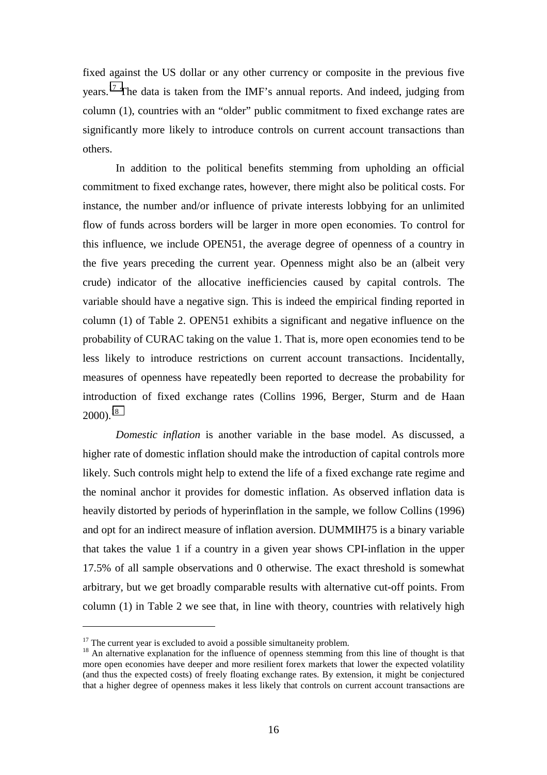fixed against the US dollar or any other currency or composite in the previous five years.17 The data is taken from the IMF's annual reports. And indeed, judging from column (1), countries with an "older" public commitment to fixed exchange rates are significantly more likely to introduce controls on current account transactions than others.

In addition to the political benefits stemming from upholding an official commitment to fixed exchange rates, however, there might also be political costs. For instance, the number and/or influence of private interests lobbying for an unlimited flow of funds across borders will be larger in more open economies. To control for this influence, we include OPEN51, the average degree of openness of a country in the five years preceding the current year. Openness might also be an (albeit very crude) indicator of the allocative inefficiencies caused by capital controls. The variable should have a negative sign. This is indeed the empirical finding reported in column (1) of Table 2. OPEN51 exhibits a significant and negative influence on the probability of CURAC taking on the value 1. That is, more open economies tend to be less likely to introduce restrictions on current account transactions. Incidentally, measures of openness have repeatedly been reported to decrease the probability for introduction of fixed exchange rates (Collins 1996, Berger, Sturm and de Haan  $2000$ <sup>18</sup>

*Domestic inflation* is another variable in the base model. As discussed, a higher rate of domestic inflation should make the introduction of capital controls more likely. Such controls might help to extend the life of a fixed exchange rate regime and the nominal anchor it provides for domestic inflation. As observed inflation data is heavily distorted by periods of hyperinflation in the sample, we follow Collins (1996) and opt for an indirect measure of inflation aversion. DUMMIH75 is a binary variable that takes the value 1 if a country in a given year shows CPI-inflation in the upper 17.5% of all sample observations and 0 otherwise. The exact threshold is somewhat arbitrary, but we get broadly comparable results with alternative cut-off points. From column (1) in Table 2 we see that, in line with theory, countries with relatively high

 $17$  The current year is excluded to avoid a possible simultaneity problem.

<sup>&</sup>lt;sup>18</sup> An alternative explanation for the influence of openness stemming from this line of thought is that more open economies have deeper and more resilient forex markets that lower the expected volatility (and thus the expected costs) of freely floating exchange rates. By extension, it might be conjectured that a higher degree of openness makes it less likely that controls on current account transactions are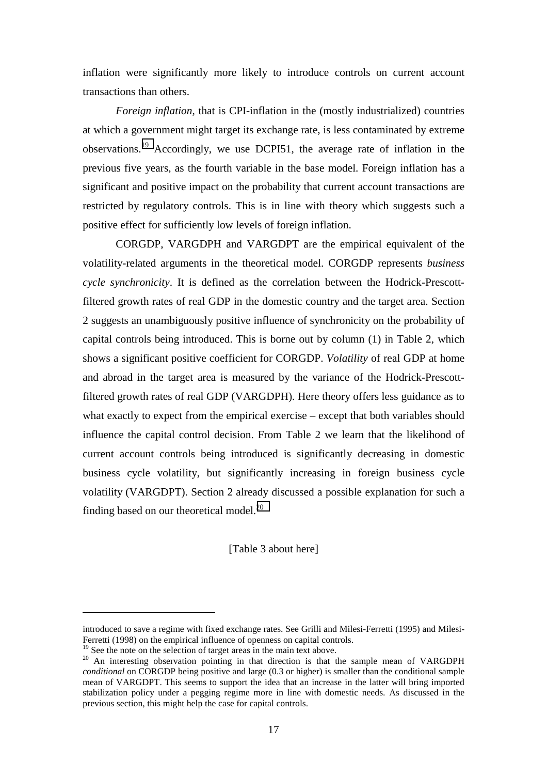inflation were significantly more likely to introduce controls on current account transactions than others.

*Foreign inflation*, that is CPI-inflation in the (mostly industrialized) countries at which a government might target its exchange rate, is less contaminated by extreme observations.19 Accordingly, we use DCPI51, the average rate of inflation in the previous five years, as the fourth variable in the base model. Foreign inflation has a significant and positive impact on the probability that current account transactions are restricted by regulatory controls. This is in line with theory which suggests such a positive effect for sufficiently low levels of foreign inflation.

CORGDP, VARGDPH and VARGDPT are the empirical equivalent of the volatility-related arguments in the theoretical model. CORGDP represents *business cycle synchronicity*. It is defined as the correlation between the Hodrick-Prescottfiltered growth rates of real GDP in the domestic country and the target area. Section 2 suggests an unambiguously positive influence of synchronicity on the probability of capital controls being introduced. This is borne out by column (1) in Table 2, which shows a significant positive coefficient for CORGDP. *Volatility* of real GDP at home and abroad in the target area is measured by the variance of the Hodrick-Prescottfiltered growth rates of real GDP (VARGDPH). Here theory offers less guidance as to what exactly to expect from the empirical exercise – except that both variables should influence the capital control decision. From Table 2 we learn that the likelihood of current account controls being introduced is significantly decreasing in domestic business cycle volatility, but significantly increasing in foreign business cycle volatility (VARGDPT). Section 2 already discussed a possible explanation for such a finding based on our theoretical model.<sup>20</sup>

[Table 3 about here]

introduced to save a regime with fixed exchange rates. See Grilli and Milesi-Ferretti (1995) and Milesi-Ferretti (1998) on the empirical influence of openness on capital controls.

 $19$  See the note on the selection of target areas in the main text above.

<sup>&</sup>lt;sup>20</sup> An interesting observation pointing in that direction is that the sample mean of VARGDPH *conditional* on CORGDP being positive and large (0.3 or higher) is smaller than the conditional sample mean of VARGDPT. This seems to support the idea that an increase in the latter will bring imported stabilization policy under a pegging regime more in line with domestic needs. As discussed in the previous section, this might help the case for capital controls.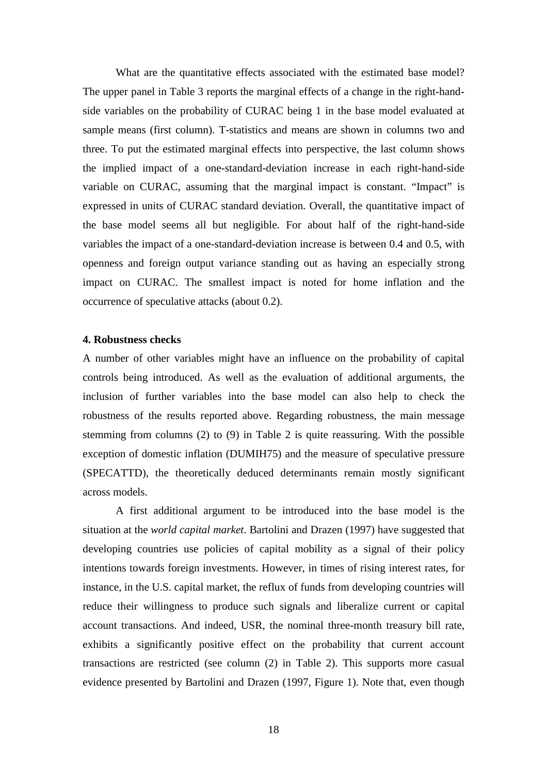What are the quantitative effects associated with the estimated base model? The upper panel in Table 3 reports the marginal effects of a change in the right-handside variables on the probability of CURAC being 1 in the base model evaluated at sample means (first column). T-statistics and means are shown in columns two and three. To put the estimated marginal effects into perspective, the last column shows the implied impact of a one-standard-deviation increase in each right-hand-side variable on CURAC, assuming that the marginal impact is constant. "Impact" is expressed in units of CURAC standard deviation. Overall, the quantitative impact of the base model seems all but negligible. For about half of the right-hand-side variables the impact of a one-standard-deviation increase is between 0.4 and 0.5, with openness and foreign output variance standing out as having an especially strong impact on CURAC. The smallest impact is noted for home inflation and the occurrence of speculative attacks (about 0.2).

#### **4. Robustness checks**

A number of other variables might have an influence on the probability of capital controls being introduced. As well as the evaluation of additional arguments, the inclusion of further variables into the base model can also help to check the robustness of the results reported above. Regarding robustness, the main message stemming from columns (2) to (9) in Table 2 is quite reassuring. With the possible exception of domestic inflation (DUMIH75) and the measure of speculative pressure (SPECATTD), the theoretically deduced determinants remain mostly significant across models.

A first additional argument to be introduced into the base model is the situation at the *world capital market*. Bartolini and Drazen (1997) have suggested that developing countries use policies of capital mobility as a signal of their policy intentions towards foreign investments. However, in times of rising interest rates, for instance, in the U.S. capital market, the reflux of funds from developing countries will reduce their willingness to produce such signals and liberalize current or capital account transactions. And indeed, USR, the nominal three-month treasury bill rate, exhibits a significantly positive effect on the probability that current account transactions are restricted (see column (2) in Table 2). This supports more casual evidence presented by Bartolini and Drazen (1997, Figure 1). Note that, even though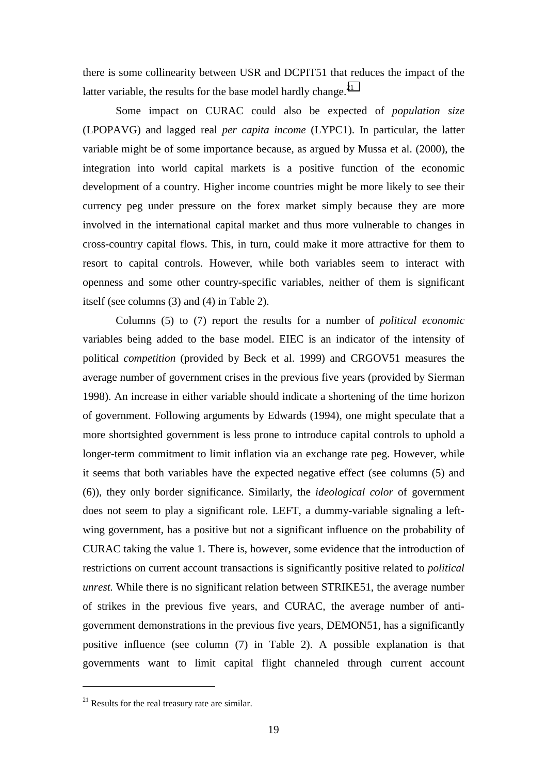there is some collinearity between USR and DCPIT51 that reduces the impact of the latter variable, the results for the base model hardly change.<sup>21</sup>

Some impact on CURAC could also be expected of *population size* (LPOPAVG) and lagged real *per capita income* (LYPC1). In particular, the latter variable might be of some importance because, as argued by Mussa et al. (2000), the integration into world capital markets is a positive function of the economic development of a country. Higher income countries might be more likely to see their currency peg under pressure on the forex market simply because they are more involved in the international capital market and thus more vulnerable to changes in cross-country capital flows. This, in turn, could make it more attractive for them to resort to capital controls. However, while both variables seem to interact with openness and some other country-specific variables, neither of them is significant itself (see columns (3) and (4) in Table 2).

Columns (5) to (7) report the results for a number of *political economic* variables being added to the base model. EIEC is an indicator of the intensity of political *competition* (provided by Beck et al. 1999) and CRGOV51 measures the average number of government crises in the previous five years (provided by Sierman 1998). An increase in either variable should indicate a shortening of the time horizon of government. Following arguments by Edwards (1994), one might speculate that a more shortsighted government is less prone to introduce capital controls to uphold a longer-term commitment to limit inflation via an exchange rate peg. However, while it seems that both variables have the expected negative effect (see columns (5) and (6)), they only border significance. Similarly, the *ideological color* of government does not seem to play a significant role. LEFT, a dummy-variable signaling a leftwing government, has a positive but not a significant influence on the probability of CURAC taking the value 1. There is, however, some evidence that the introduction of restrictions on current account transactions is significantly positive related to *political unrest.* While there is no significant relation between STRIKE51, the average number of strikes in the previous five years, and CURAC, the average number of antigovernment demonstrations in the previous five years, DEMON51, has a significantly positive influence (see column (7) in Table 2). A possible explanation is that governments want to limit capital flight channeled through current account

 $21$  Results for the real treasury rate are similar.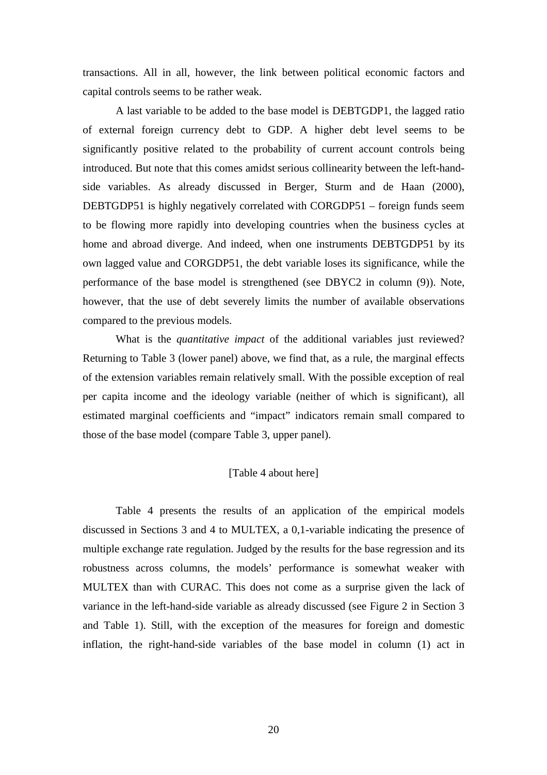transactions. All in all, however, the link between political economic factors and capital controls seems to be rather weak.

A last variable to be added to the base model is DEBTGDP1, the lagged ratio of external foreign currency debt to GDP. A higher debt level seems to be significantly positive related to the probability of current account controls being introduced. But note that this comes amidst serious collinearity between the left-handside variables. As already discussed in Berger, Sturm and de Haan (2000), DEBTGDP51 is highly negatively correlated with CORGDP51 – foreign funds seem to be flowing more rapidly into developing countries when the business cycles at home and abroad diverge. And indeed, when one instruments DEBTGDP51 by its own lagged value and CORGDP51, the debt variable loses its significance, while the performance of the base model is strengthened (see DBYC2 in column (9)). Note, however, that the use of debt severely limits the number of available observations compared to the previous models.

What is the *quantitative impact* of the additional variables just reviewed? Returning to Table 3 (lower panel) above, we find that, as a rule, the marginal effects of the extension variables remain relatively small. With the possible exception of real per capita income and the ideology variable (neither of which is significant), all estimated marginal coefficients and "impact" indicators remain small compared to those of the base model (compare Table 3, upper panel).

#### [Table 4 about here]

Table 4 presents the results of an application of the empirical models discussed in Sections 3 and 4 to MULTEX, a 0,1-variable indicating the presence of multiple exchange rate regulation. Judged by the results for the base regression and its robustness across columns, the models' performance is somewhat weaker with MULTEX than with CURAC. This does not come as a surprise given the lack of variance in the left-hand-side variable as already discussed (see Figure 2 in Section 3 and Table 1). Still, with the exception of the measures for foreign and domestic inflation, the right-hand-side variables of the base model in column (1) act in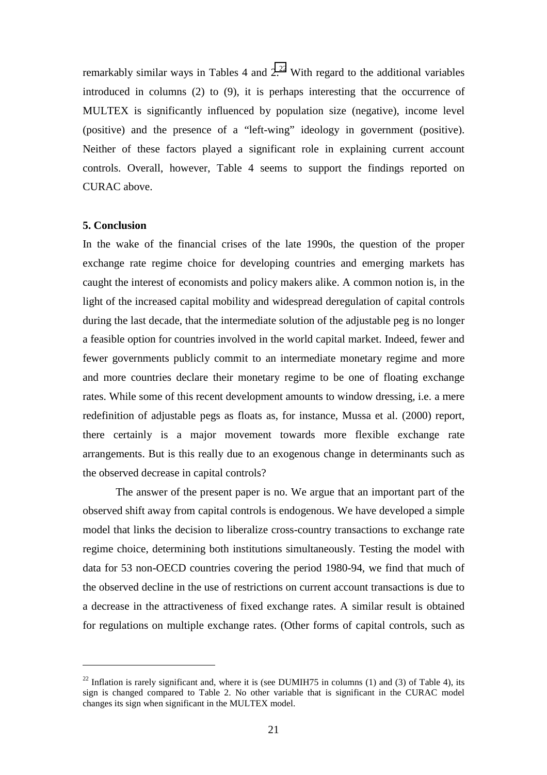remarkably similar ways in Tables 4 and  $2<sup>22</sup>$  With regard to the additional variables introduced in columns (2) to (9), it is perhaps interesting that the occurrence of MULTEX is significantly influenced by population size (negative), income level (positive) and the presence of a "left-wing" ideology in government (positive). Neither of these factors played a significant role in explaining current account controls. Overall, however, Table 4 seems to support the findings reported on CURAC above.

#### **5. Conclusion**

 $\overline{a}$ 

In the wake of the financial crises of the late 1990s, the question of the proper exchange rate regime choice for developing countries and emerging markets has caught the interest of economists and policy makers alike. A common notion is, in the light of the increased capital mobility and widespread deregulation of capital controls during the last decade, that the intermediate solution of the adjustable peg is no longer a feasible option for countries involved in the world capital market. Indeed, fewer and fewer governments publicly commit to an intermediate monetary regime and more and more countries declare their monetary regime to be one of floating exchange rates. While some of this recent development amounts to window dressing, i.e. a mere redefinition of adjustable pegs as floats as, for instance, Mussa et al. (2000) report, there certainly is a major movement towards more flexible exchange rate arrangements. But is this really due to an exogenous change in determinants such as the observed decrease in capital controls?

The answer of the present paper is no. We argue that an important part of the observed shift away from capital controls is endogenous. We have developed a simple model that links the decision to liberalize cross-country transactions to exchange rate regime choice, determining both institutions simultaneously. Testing the model with data for 53 non-OECD countries covering the period 1980-94, we find that much of the observed decline in the use of restrictions on current account transactions is due to a decrease in the attractiveness of fixed exchange rates. A similar result is obtained for regulations on multiple exchange rates. (Other forms of capital controls, such as

<sup>&</sup>lt;sup>22</sup> Inflation is rarely significant and, where it is (see DUMIH75 in columns (1) and (3) of Table 4), its sign is changed compared to Table 2. No other variable that is significant in the CURAC model changes its sign when significant in the MULTEX model.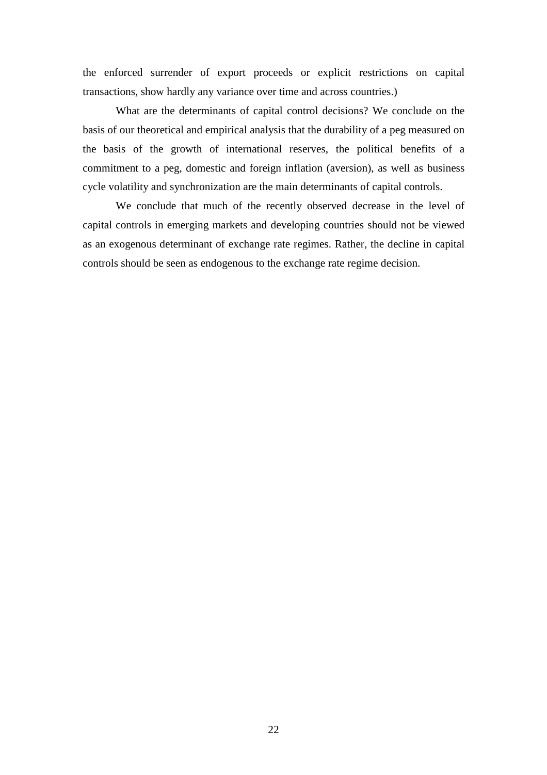the enforced surrender of export proceeds or explicit restrictions on capital transactions, show hardly any variance over time and across countries.)

What are the determinants of capital control decisions? We conclude on the basis of our theoretical and empirical analysis that the durability of a peg measured on the basis of the growth of international reserves, the political benefits of a commitment to a peg, domestic and foreign inflation (aversion), as well as business cycle volatility and synchronization are the main determinants of capital controls.

We conclude that much of the recently observed decrease in the level of capital controls in emerging markets and developing countries should not be viewed as an exogenous determinant of exchange rate regimes. Rather, the decline in capital controls should be seen as endogenous to the exchange rate regime decision.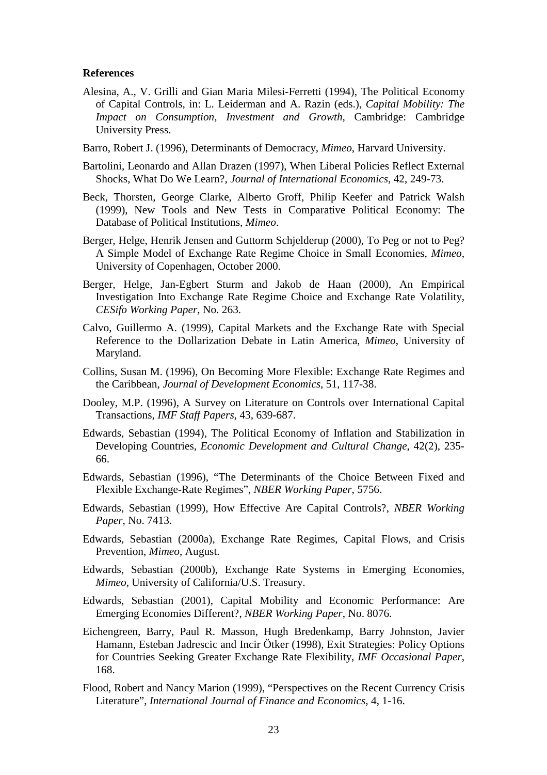#### **References**

- Alesina, A., V. Grilli and Gian Maria Milesi-Ferretti (1994), The Political Economy of Capital Controls, in: L. Leiderman and A. Razin (eds.), *Capital Mobility: The Impact on Consumption, Investment and Growth,* Cambridge: Cambridge University Press.
- Barro, Robert J. (1996), Determinants of Democracy, *Mimeo*, Harvard University.
- Bartolini, Leonardo and Allan Drazen (1997), When Liberal Policies Reflect External Shocks, What Do We Learn?, *Journal of International Economics*, 42, 249-73.
- Beck, Thorsten, George Clarke, Alberto Groff, Philip Keefer and Patrick Walsh (1999), New Tools and New Tests in Comparative Political Economy: The Database of Political Institutions, *Mimeo*.
- Berger, Helge, Henrik Jensen and Guttorm Schielderup (2000), To Peg or not to Peg? A Simple Model of Exchange Rate Regime Choice in Small Economies, *Mimeo*, University of Copenhagen, October 2000.
- Berger, Helge, Jan-Egbert Sturm and Jakob de Haan (2000), An Empirical Investigation Into Exchange Rate Regime Choice and Exchange Rate Volatility, *CESifo Working Paper*, No. 263.
- Calvo, Guillermo A. (1999), Capital Markets and the Exchange Rate with Special Reference to the Dollarization Debate in Latin America, *Mimeo*, University of Maryland.
- Collins, Susan M. (1996), On Becoming More Flexible: Exchange Rate Regimes and the Caribbean, *Journal of Development Economics*, 51, 117-38.
- Dooley, M.P. (1996), A Survey on Literature on Controls over International Capital Transactions, *IMF Staff Papers,* 43, 639-687.
- Edwards, Sebastian (1994), The Political Economy of Inflation and Stabilization in Developing Countries, *Economic Development and Cultural Change*, 42(2), 235- 66.
- Edwards, Sebastian (1996), "The Determinants of the Choice Between Fixed and Flexible Exchange-Rate Regimes", *NBER Working Paper*, 5756.
- Edwards, Sebastian (1999), How Effective Are Capital Controls?, *NBER Working Paper*, No. 7413.
- Edwards, Sebastian (2000a), Exchange Rate Regimes, Capital Flows, and Crisis Prevention, *Mimeo*, August.
- Edwards, Sebastian (2000b), Exchange Rate Systems in Emerging Economies, *Mimeo*, University of California/U.S. Treasury.
- Edwards, Sebastian (2001), Capital Mobility and Economic Performance: Are Emerging Economies Different?, *NBER Working Paper*, No. 8076.
- Eichengreen, Barry, Paul R. Masson, Hugh Bredenkamp, Barry Johnston, Javier Hamann, Esteban Jadrescic and Incir Ötker (1998), Exit Strategies: Policy Options for Countries Seeking Greater Exchange Rate Flexibility, *IMF Occasional Paper*, 168.
- Flood, Robert and Nancy Marion (1999), "Perspectives on the Recent Currency Crisis Literature", *International Journal of Finance and Economics*, 4, 1-16.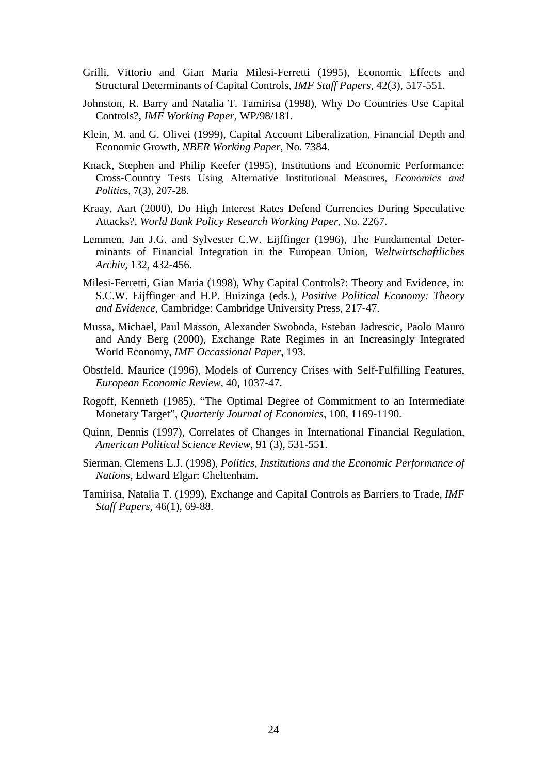- Grilli, Vittorio and Gian Maria Milesi-Ferretti (1995), Economic Effects and Structural Determinants of Capital Controls, *IMF Staff Papers,* 42(3), 517-551.
- Johnston, R. Barry and Natalia T. Tamirisa (1998), Why Do Countries Use Capital Controls?, *IMF Working Paper*, WP/98/181.
- Klein, M. and G. Olivei (1999), Capital Account Liberalization, Financial Depth and Economic Growth, *NBER Working Paper*, No. 7384.
- Knack, Stephen and Philip Keefer (1995), Institutions and Economic Performance: Cross-Country Tests Using Alternative Institutional Measures, *Economics and Politic*s, 7(3), 207-28.
- Kraay, Aart (2000), Do High Interest Rates Defend Currencies During Speculative Attacks?, *World Bank Policy Research Working Paper*, No. 2267.
- Lemmen, Jan J.G. and Sylvester C.W. Eijffinger (1996), The Fundamental Determinants of Financial Integration in the European Union, *Weltwirtschaftliches Archiv,* 132, 432-456.
- Milesi-Ferretti, Gian Maria (1998), Why Capital Controls?: Theory and Evidence, in: S.C.W. Eijffinger and H.P. Huizinga (eds.), *Positive Political Economy: Theory and Evidence,* Cambridge: Cambridge University Press, 217-47.
- Mussa, Michael, Paul Masson, Alexander Swoboda, Esteban Jadrescic, Paolo Mauro and Andy Berg (2000), Exchange Rate Regimes in an Increasingly Integrated World Economy, *IMF Occassional Paper*, 193.
- Obstfeld, Maurice (1996), Models of Currency Crises with Self-Fulfilling Features, *European Economic Review*, 40, 1037-47.
- Rogoff, Kenneth (1985), "The Optimal Degree of Commitment to an Intermediate Monetary Target", *Quarterly Journal of Economics*, 100, 1169-1190.
- Quinn, Dennis (1997), Correlates of Changes in International Financial Regulation, *American Political Science Review*, 91 (3), 531-551.
- Sierman, Clemens L.J. (1998), *Politics, Institutions and the Economic Performance of Nations*, Edward Elgar: Cheltenham.
- Tamirisa, Natalia T. (1999), Exchange and Capital Controls as Barriers to Trade, *IMF Staff Papers*, 46(1), 69-88.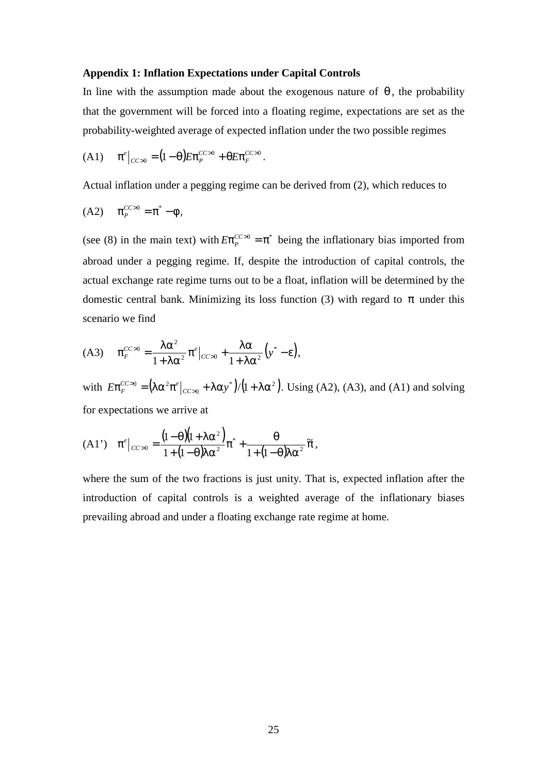#### **Appendix 1: Inflation Expectations under Capital Controls**

In line with the assumption made about the exogenous nature of  $\theta$ , the probability that the government will be forced into a floating regime, expectations are set as the probability-weighted average of expected inflation under the two possible regimes

(A1) 
$$
\pi^e|_{CC>0} = (1-\theta)E\pi_F^{CC>0} + \theta E\pi_F^{CC>0}
$$
.

Actual inflation under a pegging regime can be derived from (2), which reduces to

$$
(A2) \qquad \pi_P^{CC>0} = \pi^* - \phi,
$$

(see (8) in the main text) with  $E\pi_P^{CC>0} = \pi^*$  being the inflationary bias imported from abroad under a pegging regime. If, despite the introduction of capital controls, the actual exchange rate regime turns out to be a float, inflation will be determined by the domestic central bank. Minimizing its loss function (3) with regard to  $\pi$  under this scenario we find

$$
(A3) \qquad \pi_F^{CC>0} = \frac{\lambda \alpha^2}{1 + \lambda \alpha^2} \pi^e \big|_{CC>0} + \frac{\lambda \alpha}{1 + \lambda \alpha^2} \big( y^* - \varepsilon \big),
$$

with  $E \pi_F^{CC>0} = (\lambda \alpha^2 \pi^e|_{CC>0} + \lambda \alpha y^*)/(1+\lambda \alpha^2)$ . Using (A2), (A3), and (A1) and solving for expectations we arrive at

(A1') 
$$
\pi^e|_{CC>0} = \frac{(1-\theta)(1+\lambda\alpha^2)}{1+(1-\theta)\lambda\alpha^2}\pi^* + \frac{\theta}{1+(1-\theta)\lambda\alpha^2}\widetilde{\pi},
$$

where the sum of the two fractions is just unity. That is, expected inflation after the introduction of capital controls is a weighted average of the inflationary biases prevailing abroad and under a floating exchange rate regime at home.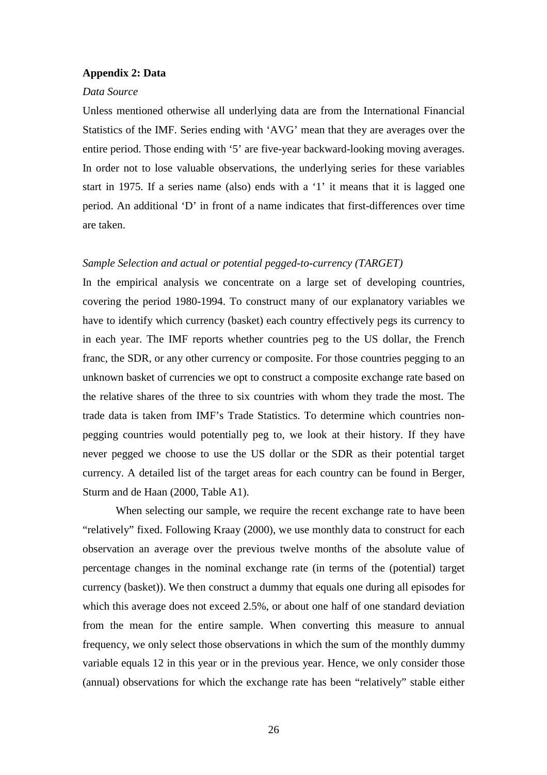#### **Appendix 2: Data**

#### *Data Source*

Unless mentioned otherwise all underlying data are from the International Financial Statistics of the IMF. Series ending with 'AVG' mean that they are averages over the entire period. Those ending with '5' are five-year backward-looking moving averages. In order not to lose valuable observations, the underlying series for these variables start in 1975. If a series name (also) ends with a '1' it means that it is lagged one period. An additional 'D' in front of a name indicates that first-differences over time are taken.

#### *Sample Selection and actual or potential pegged-to-currency (TARGET)*

In the empirical analysis we concentrate on a large set of developing countries, covering the period 1980-1994. To construct many of our explanatory variables we have to identify which currency (basket) each country effectively pegs its currency to in each year. The IMF reports whether countries peg to the US dollar, the French franc, the SDR, or any other currency or composite. For those countries pegging to an unknown basket of currencies we opt to construct a composite exchange rate based on the relative shares of the three to six countries with whom they trade the most. The trade data is taken from IMF's Trade Statistics. To determine which countries nonpegging countries would potentially peg to, we look at their history. If they have never pegged we choose to use the US dollar or the SDR as their potential target currency. A detailed list of the target areas for each country can be found in Berger, Sturm and de Haan (2000, Table A1).

When selecting our sample, we require the recent exchange rate to have been "relatively" fixed. Following Kraay (2000), we use monthly data to construct for each observation an average over the previous twelve months of the absolute value of percentage changes in the nominal exchange rate (in terms of the (potential) target currency (basket)). We then construct a dummy that equals one during all episodes for which this average does not exceed 2.5%, or about one half of one standard deviation from the mean for the entire sample. When converting this measure to annual frequency, we only select those observations in which the sum of the monthly dummy variable equals 12 in this year or in the previous year. Hence, we only consider those (annual) observations for which the exchange rate has been "relatively" stable either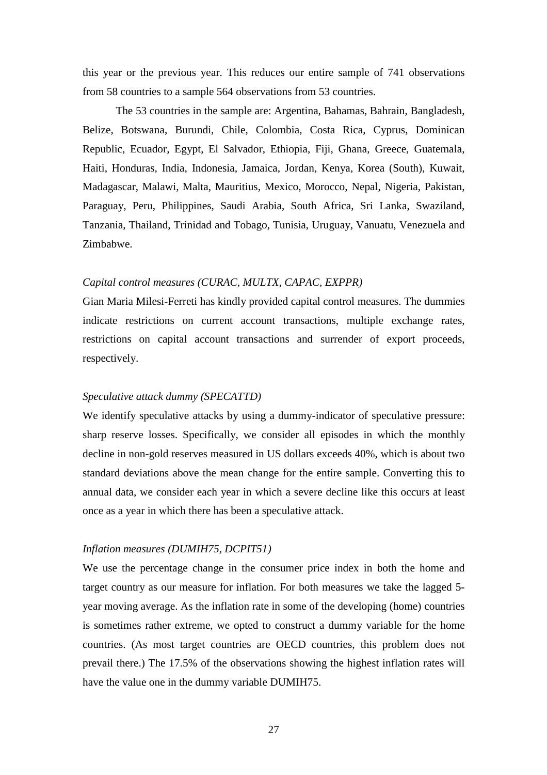this year or the previous year. This reduces our entire sample of 741 observations from 58 countries to a sample 564 observations from 53 countries.

The 53 countries in the sample are: Argentina, Bahamas, Bahrain, Bangladesh, Belize, Botswana, Burundi, Chile, Colombia, Costa Rica, Cyprus, Dominican Republic, Ecuador, Egypt, El Salvador, Ethiopia, Fiji, Ghana, Greece, Guatemala, Haiti, Honduras, India, Indonesia, Jamaica, Jordan, Kenya, Korea (South), Kuwait, Madagascar, Malawi, Malta, Mauritius, Mexico, Morocco, Nepal, Nigeria, Pakistan, Paraguay, Peru, Philippines, Saudi Arabia, South Africa, Sri Lanka, Swaziland, Tanzania, Thailand, Trinidad and Tobago, Tunisia, Uruguay, Vanuatu, Venezuela and Zimbabwe.

#### *Capital control measures (CURAC, MULTX, CAPAC, EXPPR)*

Gian Maria Milesi-Ferreti has kindly provided capital control measures. The dummies indicate restrictions on current account transactions, multiple exchange rates, restrictions on capital account transactions and surrender of export proceeds, respectively.

#### *Speculative attack dummy (SPECATTD)*

We identify speculative attacks by using a dummy-indicator of speculative pressure: sharp reserve losses. Specifically, we consider all episodes in which the monthly decline in non-gold reserves measured in US dollars exceeds 40%, which is about two standard deviations above the mean change for the entire sample. Converting this to annual data, we consider each year in which a severe decline like this occurs at least once as a year in which there has been a speculative attack.

#### *Inflation measures (DUMIH75, DCPIT51)*

We use the percentage change in the consumer price index in both the home and target country as our measure for inflation. For both measures we take the lagged 5 year moving average. As the inflation rate in some of the developing (home) countries is sometimes rather extreme, we opted to construct a dummy variable for the home countries. (As most target countries are OECD countries, this problem does not prevail there.) The 17.5% of the observations showing the highest inflation rates will have the value one in the dummy variable DUMIH75.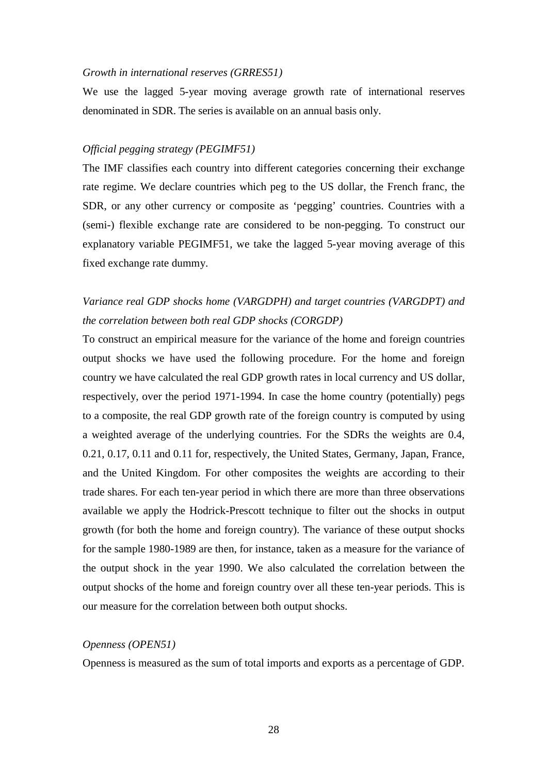#### *Growth in international reserves (GRRES51)*

We use the lagged 5-year moving average growth rate of international reserves denominated in SDR. The series is available on an annual basis only.

#### *Official pegging strategy (PEGIMF51)*

The IMF classifies each country into different categories concerning their exchange rate regime. We declare countries which peg to the US dollar, the French franc, the SDR, or any other currency or composite as 'pegging' countries. Countries with a (semi-) flexible exchange rate are considered to be non-pegging. To construct our explanatory variable PEGIMF51, we take the lagged 5-year moving average of this fixed exchange rate dummy.

### *Variance real GDP shocks home (VARGDPH) and target countries (VARGDPT) and the correlation between both real GDP shocks (CORGDP)*

To construct an empirical measure for the variance of the home and foreign countries output shocks we have used the following procedure. For the home and foreign country we have calculated the real GDP growth rates in local currency and US dollar, respectively, over the period 1971-1994. In case the home country (potentially) pegs to a composite, the real GDP growth rate of the foreign country is computed by using a weighted average of the underlying countries. For the SDRs the weights are 0.4, 0.21, 0.17, 0.11 and 0.11 for, respectively, the United States, Germany, Japan, France, and the United Kingdom. For other composites the weights are according to their trade shares. For each ten-year period in which there are more than three observations available we apply the Hodrick-Prescott technique to filter out the shocks in output growth (for both the home and foreign country). The variance of these output shocks for the sample 1980-1989 are then, for instance, taken as a measure for the variance of the output shock in the year 1990. We also calculated the correlation between the output shocks of the home and foreign country over all these ten-year periods. This is our measure for the correlation between both output shocks.

#### *Openness (OPEN51)*

Openness is measured as the sum of total imports and exports as a percentage of GDP.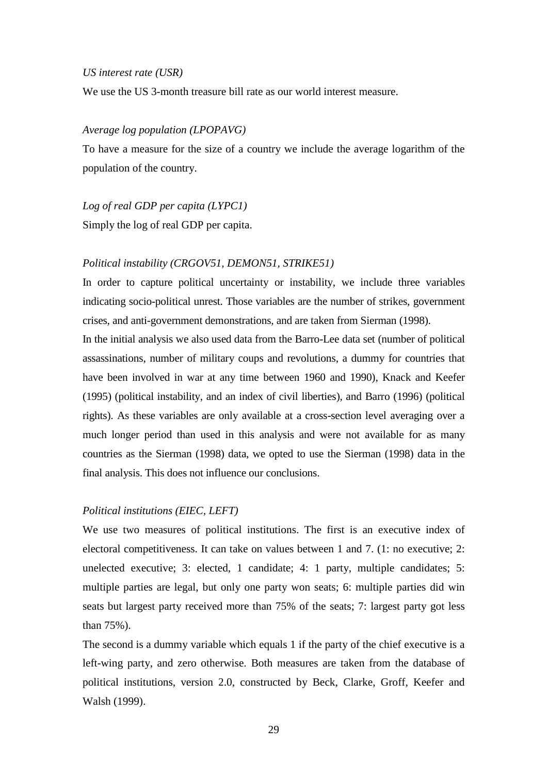#### *US interest rate (USR)*

We use the US 3-month treasure bill rate as our world interest measure.

#### *Average log population (LPOPAVG)*

To have a measure for the size of a country we include the average logarithm of the population of the country.

*Log of real GDP per capita (LYPC1)*

Simply the log of real GDP per capita.

#### *Political instability (CRGOV51, DEMON51, STRIKE51)*

In order to capture political uncertainty or instability, we include three variables indicating socio-political unrest. Those variables are the number of strikes, government crises, and anti-government demonstrations, and are taken from Sierman (1998).

In the initial analysis we also used data from the Barro-Lee data set (number of political assassinations, number of military coups and revolutions, a dummy for countries that have been involved in war at any time between 1960 and 1990), Knack and Keefer (1995) (political instability, and an index of civil liberties), and Barro (1996) (political rights). As these variables are only available at a cross-section level averaging over a much longer period than used in this analysis and were not available for as many countries as the Sierman (1998) data, we opted to use the Sierman (1998) data in the final analysis. This does not influence our conclusions.

#### *Political institutions (EIEC, LEFT)*

We use two measures of political institutions. The first is an executive index of electoral competitiveness. It can take on values between 1 and 7. (1: no executive; 2: unelected executive; 3: elected, 1 candidate; 4: 1 party, multiple candidates; 5: multiple parties are legal, but only one party won seats; 6: multiple parties did win seats but largest party received more than 75% of the seats; 7: largest party got less than 75%).

The second is a dummy variable which equals 1 if the party of the chief executive is a left-wing party, and zero otherwise. Both measures are taken from the database of political institutions, version 2.0, constructed by Beck, Clarke, Groff, Keefer and Walsh (1999).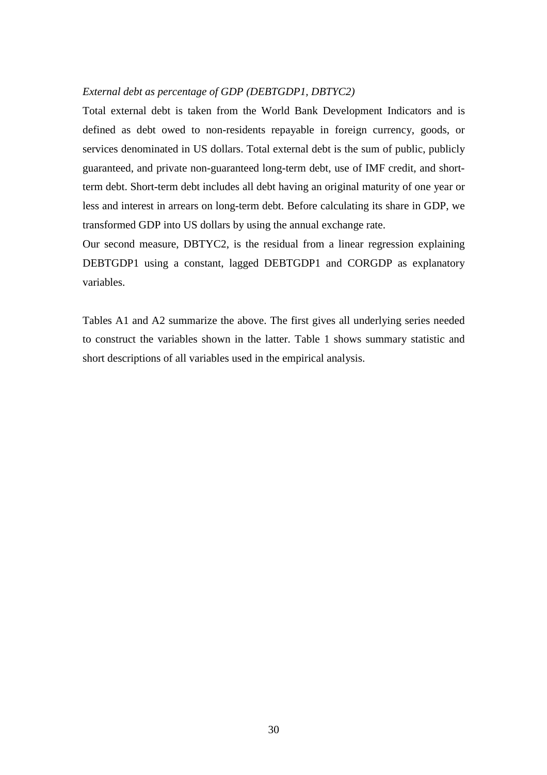#### *External debt as percentage of GDP (DEBTGDP1, DBTYC2)*

Total external debt is taken from the World Bank Development Indicators and is defined as debt owed to non-residents repayable in foreign currency, goods, or services denominated in US dollars. Total external debt is the sum of public, publicly guaranteed, and private non-guaranteed long-term debt, use of IMF credit, and shortterm debt. Short-term debt includes all debt having an original maturity of one year or less and interest in arrears on long-term debt. Before calculating its share in GDP, we transformed GDP into US dollars by using the annual exchange rate.

Our second measure, DBTYC2, is the residual from a linear regression explaining DEBTGDP1 using a constant, lagged DEBTGDP1 and CORGDP as explanatory variables.

Tables A1 and A2 summarize the above. The first gives all underlying series needed to construct the variables shown in the latter. Table 1 shows summary statistic and short descriptions of all variables used in the empirical analysis.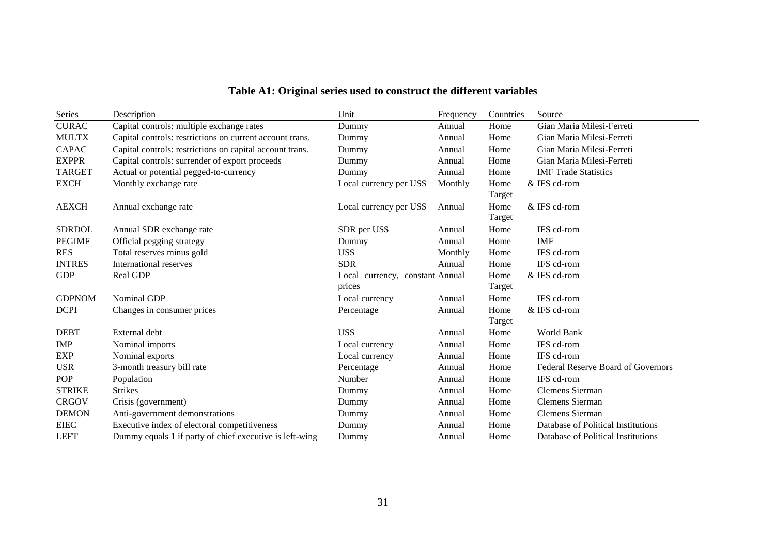| Series        | Description                                              | Unit                                      | Frequency | Countries      | Source                                    |
|---------------|----------------------------------------------------------|-------------------------------------------|-----------|----------------|-------------------------------------------|
| <b>CURAC</b>  | Capital controls: multiple exchange rates                | Dummy                                     | Annual    | Home           | Gian Maria Milesi-Ferreti                 |
| <b>MULTX</b>  | Capital controls: restrictions on current account trans. | Dummy                                     | Annual    | Home           | Gian Maria Milesi-Ferreti                 |
| <b>CAPAC</b>  | Capital controls: restrictions on capital account trans. | Dummy                                     | Annual    | Home           | Gian Maria Milesi-Ferreti                 |
| <b>EXPPR</b>  | Capital controls: surrender of export proceeds           | Dummy                                     | Annual    | Home           | Gian Maria Milesi-Ferreti                 |
| <b>TARGET</b> | Actual or potential pegged-to-currency                   | Dummy                                     | Annual    | Home           | <b>IMF</b> Trade Statistics               |
| <b>EXCH</b>   | Monthly exchange rate                                    | Local currency per US\$                   | Monthly   | Home<br>Target | & IFS cd-rom                              |
| <b>AEXCH</b>  | Annual exchange rate                                     | Local currency per US\$                   | Annual    | Home<br>Target | & IFS cd-rom                              |
| <b>SDRDOL</b> | Annual SDR exchange rate                                 | SDR per US\$                              | Annual    | Home           | IFS cd-rom                                |
| <b>PEGIMF</b> | Official pegging strategy                                | Dummy                                     | Annual    | Home           | IMF                                       |
| <b>RES</b>    | Total reserves minus gold                                | US\$                                      | Monthly   | Home           | IFS cd-rom                                |
| <b>INTRES</b> | International reserves                                   | <b>SDR</b>                                | Annual    | Home           | IFS cd-rom                                |
| <b>GDP</b>    | Real GDP                                                 | Local currency, constant Annual<br>prices |           | Home<br>Target | & IFS cd-rom                              |
| <b>GDPNOM</b> | Nominal GDP                                              | Local currency                            | Annual    | Home           | IFS cd-rom                                |
| <b>DCPI</b>   | Changes in consumer prices                               | Percentage                                | Annual    | Home<br>Target | & IFS cd-rom                              |
| <b>DEBT</b>   | External debt                                            | US\$                                      | Annual    | Home           | <b>World Bank</b>                         |
| <b>IMP</b>    | Nominal imports                                          | Local currency                            | Annual    | Home           | IFS cd-rom                                |
| <b>EXP</b>    | Nominal exports                                          | Local currency                            | Annual    | Home           | IFS cd-rom                                |
| <b>USR</b>    | 3-month treasury bill rate                               | Percentage                                | Annual    | Home           | <b>Federal Reserve Board of Governors</b> |
| POP           | Population                                               | Number                                    | Annual    | Home           | IFS cd-rom                                |
| <b>STRIKE</b> | <b>Strikes</b>                                           | Dummy                                     | Annual    | Home           | Clemens Sierman                           |
| <b>CRGOV</b>  | Crisis (government)                                      | Dummy                                     | Annual    | Home           | Clemens Sierman                           |
| <b>DEMON</b>  | Anti-government demonstrations                           | Dummy                                     | Annual    | Home           | <b>Clemens Sierman</b>                    |
| <b>EIEC</b>   | Executive index of electoral competitiveness             | Dummy                                     | Annual    | Home           | Database of Political Institutions        |
| <b>LEFT</b>   | Dummy equals 1 if party of chief executive is left-wing  | Dummy                                     | Annual    | Home           | Database of Political Institutions        |

### **Table A1: Original series used to construct the different variables**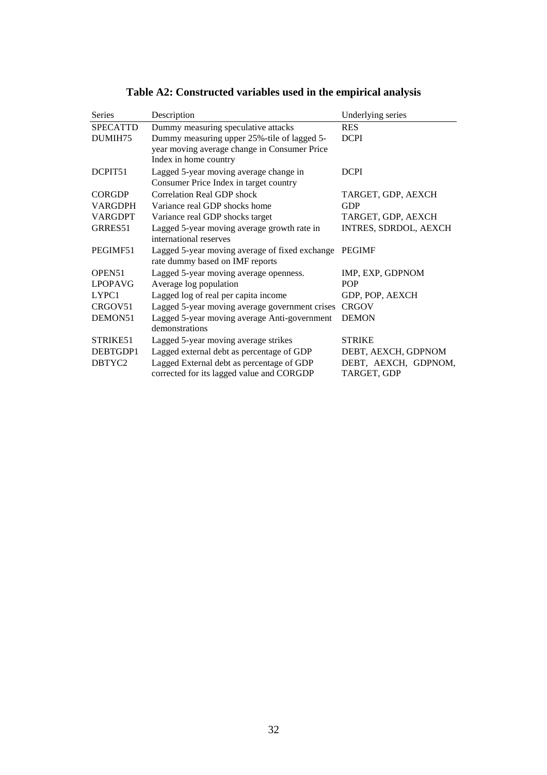| <b>Series</b>   | Description                                                                            | Underlying series                   |
|-----------------|----------------------------------------------------------------------------------------|-------------------------------------|
| <b>SPECATTD</b> | Dummy measuring speculative attacks                                                    | <b>RES</b>                          |
| DUMIH75         | Dummy measuring upper 25%-tile of lagged 5-                                            | <b>DCPI</b>                         |
|                 | year moving average change in Consumer Price<br>Index in home country                  |                                     |
| DCPIT51         | Lagged 5-year moving average change in                                                 | <b>DCPI</b>                         |
|                 | Consumer Price Index in target country                                                 |                                     |
| <b>CORGDP</b>   | <b>Correlation Real GDP shock</b>                                                      | TARGET, GDP, AEXCH                  |
| <b>VARGDPH</b>  | Variance real GDP shocks home                                                          | <b>GDP</b>                          |
| <b>VARGDPT</b>  | Variance real GDP shocks target                                                        | TARGET, GDP, AEXCH                  |
| GRRES51         | Lagged 5-year moving average growth rate in                                            | INTRES, SDRDOL, AEXCH               |
|                 | international reserves                                                                 |                                     |
| PEGIMF51        | Lagged 5-year moving average of fixed exchange<br>rate dummy based on IMF reports      | <b>PEGIMF</b>                       |
| OPEN51          | Lagged 5-year moving average openness.                                                 | IMP, EXP, GDPNOM                    |
| <b>LPOPAVG</b>  | Average log population                                                                 | <b>POP</b>                          |
| LYPC1           | Lagged log of real per capita income                                                   | GDP, POP, AEXCH                     |
| CRGOV51         | Lagged 5-year moving average government crises                                         | <b>CRGOV</b>                        |
| DEMON51         | Lagged 5-year moving average Anti-government<br>demonstrations                         | <b>DEMON</b>                        |
| STRIKE51        | Lagged 5-year moving average strikes                                                   | <b>STRIKE</b>                       |
| DEBTGDP1        | Lagged external debt as percentage of GDP                                              | DEBT, AEXCH, GDPNOM                 |
| DBTYC2          | Lagged External debt as percentage of GDP<br>corrected for its lagged value and CORGDP | DEBT, AEXCH, GDPNOM,<br>TARGET, GDP |

**Table A2: Constructed variables used in the empirical analysis**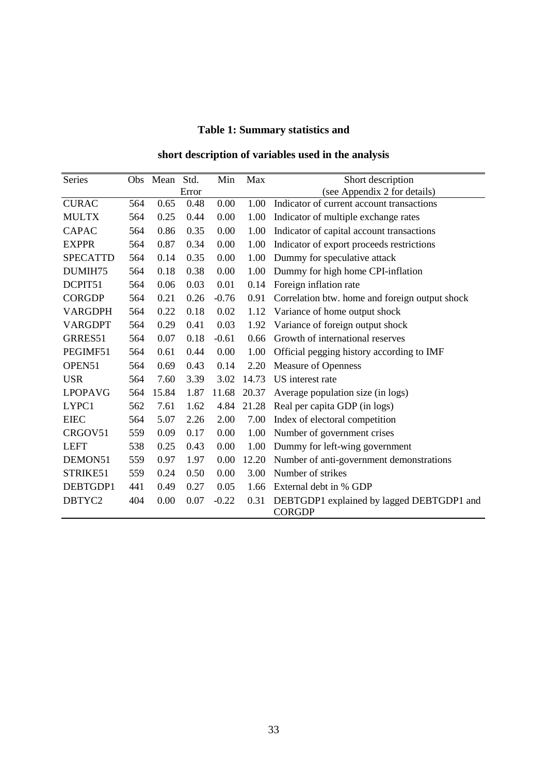# **Table 1: Summary statistics and**

### **short description of variables used in the analysis**

| Series          |     | Obs Mean Std. |       | Min     | Max   | Short description                                          |
|-----------------|-----|---------------|-------|---------|-------|------------------------------------------------------------|
|                 |     |               | Error |         |       | (see Appendix 2 for details)                               |
| <b>CURAC</b>    | 564 | 0.65          | 0.48  | 0.00    | 1.00  | Indicator of current account transactions                  |
| <b>MULTX</b>    | 564 | 0.25          | 0.44  | 0.00    | 1.00  | Indicator of multiple exchange rates                       |
| <b>CAPAC</b>    | 564 | 0.86          | 0.35  | 0.00    | 1.00  | Indicator of capital account transactions                  |
| <b>EXPPR</b>    | 564 | 0.87          | 0.34  | 0.00    | 1.00  | Indicator of export proceeds restrictions                  |
| <b>SPECATTD</b> | 564 | 0.14          | 0.35  | 0.00    | 1.00  | Dummy for speculative attack                               |
| DUMIH75         | 564 | 0.18          | 0.38  | 0.00    | 1.00  | Dummy for high home CPI-inflation                          |
| DCPIT51         | 564 | 0.06          | 0.03  | 0.01    | 0.14  | Foreign inflation rate                                     |
| <b>CORGDP</b>   | 564 | 0.21          | 0.26  | $-0.76$ | 0.91  | Correlation btw. home and foreign output shock             |
| <b>VARGDPH</b>  | 564 | 0.22          | 0.18  | 0.02    | 1.12  | Variance of home output shock                              |
| <b>VARGDPT</b>  | 564 | 0.29          | 0.41  | 0.03    | 1.92  | Variance of foreign output shock                           |
| GRRES51         | 564 | 0.07          | 0.18  | $-0.61$ | 0.66  | Growth of international reserves                           |
| PEGIMF51        | 564 | 0.61          | 0.44  | 0.00    | 1.00  | Official pegging history according to IMF                  |
| OPEN51          | 564 | 0.69          | 0.43  | 0.14    | 2.20  | <b>Measure of Openness</b>                                 |
| <b>USR</b>      | 564 | 7.60          | 3.39  | 3.02    | 14.73 | US interest rate                                           |
| <b>LPOPAVG</b>  | 564 | 15.84         | 1.87  | 11.68   | 20.37 | Average population size (in logs)                          |
| LYPC1           | 562 | 7.61          | 1.62  | 4.84    | 21.28 | Real per capita GDP (in logs)                              |
| <b>EIEC</b>     | 564 | 5.07          | 2.26  | 2.00    | 7.00  | Index of electoral competition                             |
| CRGOV51         | 559 | 0.09          | 0.17  | 0.00    | 1.00  | Number of government crises                                |
| <b>LEFT</b>     | 538 | 0.25          | 0.43  | 0.00    | 1.00  | Dummy for left-wing government                             |
| DEMON51         | 559 | 0.97          | 1.97  | 0.00    | 12.20 | Number of anti-government demonstrations                   |
| STRIKE51        | 559 | 0.24          | 0.50  | 0.00    | 3.00  | Number of strikes                                          |
| DEBTGDP1        | 441 | 0.49          | 0.27  | 0.05    | 1.66  | External debt in % GDP                                     |
| DBTYC2          | 404 | 0.00          | 0.07  | $-0.22$ | 0.31  | DEBTGDP1 explained by lagged DEBTGDP1 and<br><b>CORGDP</b> |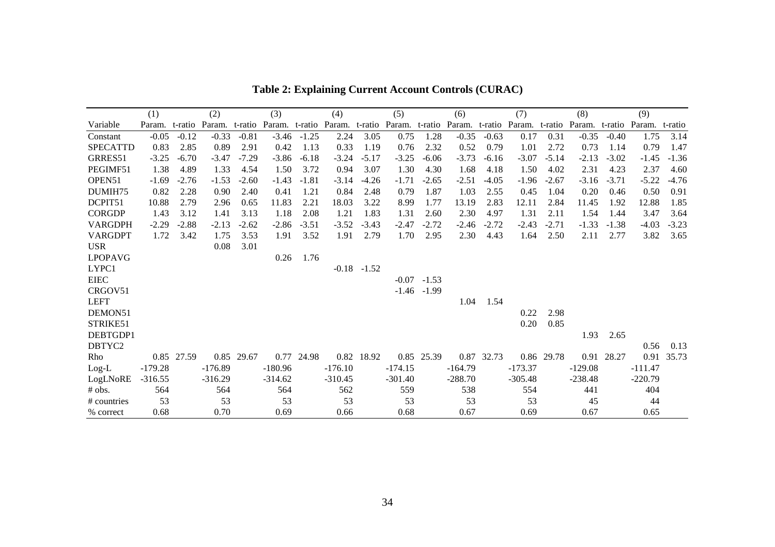|                 | (1)            |            | (2)       |            | (3)                                                                                                      |               | (4)       |                 | (5)       |               | (6)       |            | (7)       |            | (8)       |            | (9)       |            |
|-----------------|----------------|------------|-----------|------------|----------------------------------------------------------------------------------------------------------|---------------|-----------|-----------------|-----------|---------------|-----------|------------|-----------|------------|-----------|------------|-----------|------------|
| Variable        | Param. t-ratio |            | Param.    |            | t-ratio Param. t-ratio Param. t-ratio Param. t-ratio Param. t-ratio Param. t-ratio Param. t-ratio Param. |               |           |                 |           |               |           |            |           |            |           |            |           | t-ratio    |
| Constant        | $-0.05$        | $-0.12$    | $-0.33$   | $-0.81$    |                                                                                                          | $-3.46 -1.25$ | 2.24      | 3.05            | 0.75      | 1.28          | $-0.35$   | $-0.63$    | 0.17      | 0.31       | $-0.35$   | $-0.40$    | 1.75      | 3.14       |
| <b>SPECATTD</b> | 0.83           | 2.85       | 0.89      | 2.91       | 0.42                                                                                                     | 1.13          | 0.33      | 1.19            | 0.76      | 2.32          | 0.52      | 0.79       | 1.01      | 2.72       | 0.73      | 1.14       | 0.79      | 1.47       |
| GRRES51         | $-3.25$        | $-6.70$    | $-3.47$   | $-7.29$    | $-3.86$                                                                                                  | $-6.18$       | $-3.24$   | $-5.17$         | $-3.25$   | $-6.06$       | $-3.73$   | $-6.16$    | $-3.07$   | $-5.14$    | $-2.13$   | $-3.02$    | $-1.45$   | $-1.36$    |
| PEGIMF51        | 1.38           | 4.89       | 1.33      | 4.54       | 1.50                                                                                                     | 3.72          | 0.94      | 3.07            | 1.30      | 4.30          | 1.68      | 4.18       | 1.50      | 4.02       | 2.31      | 4.23       | 2.37      | 4.60       |
| OPEN51          | $-1.69$        | $-2.76$    | $-1.53$   | $-2.60$    | $-1.43$                                                                                                  | $-1.81$       | $-3.14$   | $-4.26$         | $-1.71$   | $-2.65$       | $-2.51$   | $-4.05$    | $-1.96$   | $-2.67$    | $-3.16$   | $-3.71$    | $-5.22$   | $-4.76$    |
| DUMIH75         | 0.82           | 2.28       | 0.90      | 2.40       | 0.41                                                                                                     | 1.21          | 0.84      | 2.48            | 0.79      | 1.87          | 1.03      | 2.55       | 0.45      | 1.04       | 0.20      | 0.46       | 0.50      | 0.91       |
| DCPIT51         | 10.88          | 2.79       | 2.96      | 0.65       | 11.83                                                                                                    | 2.21          | 18.03     | 3.22            | 8.99      | 1.77          | 13.19     | 2.83       | 12.11     | 2.84       | 11.45     | 1.92       | 12.88     | 1.85       |
| <b>CORGDP</b>   | 1.43           | 3.12       | 1.41      | 3.13       | 1.18                                                                                                     | 2.08          | 1.21      | 1.83            | 1.31      | 2.60          | 2.30      | 4.97       | 1.31      | 2.11       | 1.54      | 1.44       | 3.47      | 3.64       |
| <b>VARGDPH</b>  | $-2.29$        | $-2.88$    | $-2.13$   | $-2.62$    | $-2.86$                                                                                                  | $-3.51$       | $-3.52$   | $-3.43$         | $-2.47$   | $-2.72$       | $-2.46$   | $-2.72$    | $-2.43$   | $-2.71$    | $-1.33$   | $-1.38$    | $-4.03$   | $-3.23$    |
| <b>VARGDPT</b>  | 1.72           | 3.42       | 1.75      | 3.53       | 1.91                                                                                                     | 3.52          | 1.91      | 2.79            | 1.70      | 2.95          | 2.30      | 4.43       | 1.64      | 2.50       | 2.11      | 2.77       | 3.82      | 3.65       |
| <b>USR</b>      |                |            | 0.08      | 3.01       |                                                                                                          |               |           |                 |           |               |           |            |           |            |           |            |           |            |
| <b>LPOPAVG</b>  |                |            |           |            | 0.26                                                                                                     | 1.76          |           |                 |           |               |           |            |           |            |           |            |           |            |
| LYPC1           |                |            |           |            |                                                                                                          |               |           | $-0.18$ $-1.52$ |           |               |           |            |           |            |           |            |           |            |
| <b>EIEC</b>     |                |            |           |            |                                                                                                          |               |           |                 |           | $-0.07 -1.53$ |           |            |           |            |           |            |           |            |
| CRGOV51         |                |            |           |            |                                                                                                          |               |           |                 |           | $-1.46 -1.99$ |           |            |           |            |           |            |           |            |
| <b>LEFT</b>     |                |            |           |            |                                                                                                          |               |           |                 |           |               | 1.04      | 1.54       |           |            |           |            |           |            |
| DEMON51         |                |            |           |            |                                                                                                          |               |           |                 |           |               |           |            | 0.22      | 2.98       |           |            |           |            |
| STRIKE51        |                |            |           |            |                                                                                                          |               |           |                 |           |               |           |            | 0.20      | 0.85       |           |            |           |            |
| DEBTGDP1        |                |            |           |            |                                                                                                          |               |           |                 |           |               |           |            |           |            | 1.93      | 2.65       |           |            |
| DBTYC2          |                |            |           |            |                                                                                                          |               |           |                 |           |               |           |            |           |            |           |            | 0.56      | 0.13       |
| Rho             |                | 0.85 27.59 |           | 0.85 29.67 |                                                                                                          | 0.77 24.98    |           | 0.82 18.92      |           | 0.85 25.39    |           | 0.87 32.73 |           | 0.86 29.78 |           | 0.91 28.27 |           | 0.91 35.73 |
| $Log-L$         | $-179.28$      |            | $-176.89$ |            | $-180.96$                                                                                                |               | $-176.10$ |                 | $-174.15$ |               | $-164.79$ |            | $-173.37$ |            | $-129.08$ |            | $-111.47$ |            |
| LogLNoRE        | $-316.55$      |            | $-316.29$ |            | $-314.62$                                                                                                |               | $-310.45$ |                 | $-301.40$ |               | $-288.70$ |            | $-305.48$ |            | $-238.48$ |            | $-220.79$ |            |
| # obs.          | 564            |            | 564       |            | 564                                                                                                      |               | 562       |                 | 559       |               | 538       |            | 554       |            | 441       |            | 404       |            |
| # countries     | 53             |            | 53        |            | 53                                                                                                       |               | 53        |                 | 53        |               | 53        |            | 53        |            | 45        |            | 44        |            |
| % correct       | 0.68           |            | 0.70      |            | 0.69                                                                                                     |               | 0.66      |                 | 0.68      |               | 0.67      |            | 0.69      |            | 0.67      |            | 0.65      |            |

**Table 2: Explaining Current Account Controls (CURAC)**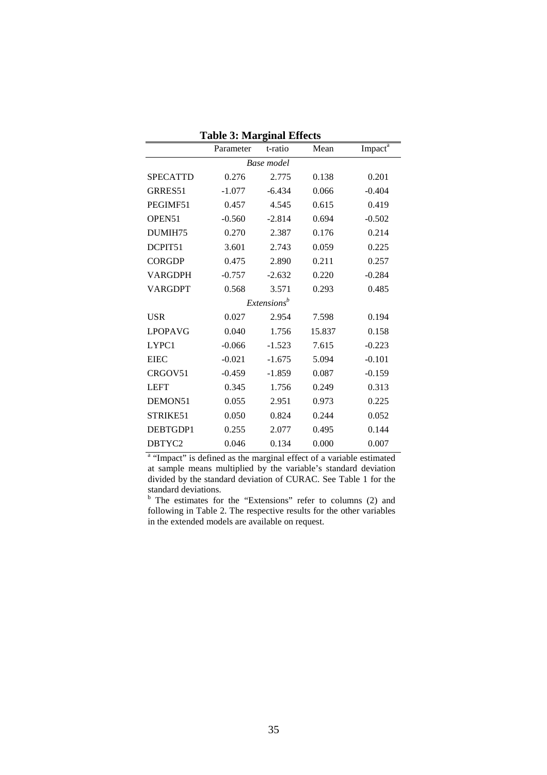|                 | ruone et maarginal milletto<br>Parameter | t-ratio                 | Mean   | Impact <sup>a</sup> |  |  |  |  |  |  |  |  |  |
|-----------------|------------------------------------------|-------------------------|--------|---------------------|--|--|--|--|--|--|--|--|--|
| Base model      |                                          |                         |        |                     |  |  |  |  |  |  |  |  |  |
| <b>SPECATTD</b> | 0.276                                    | 2.775                   | 0.138  | 0.201               |  |  |  |  |  |  |  |  |  |
| GRRES51         | $-1.077$                                 | $-6.434$                | 0.066  | $-0.404$            |  |  |  |  |  |  |  |  |  |
| PEGIMF51        | 0.457                                    | 4.545                   | 0.615  | 0.419               |  |  |  |  |  |  |  |  |  |
| OPEN51          | $-0.560$                                 | $-2.814$                | 0.694  | $-0.502$            |  |  |  |  |  |  |  |  |  |
| DUMIH75         | 0.270                                    | 2.387                   | 0.176  | 0.214               |  |  |  |  |  |  |  |  |  |
| DCPIT51         | 3.601                                    | 2.743                   | 0.059  | 0.225               |  |  |  |  |  |  |  |  |  |
| <b>CORGDP</b>   | 0.475                                    | 2.890                   | 0.211  | 0.257               |  |  |  |  |  |  |  |  |  |
| <b>VARGDPH</b>  | $-0.757$                                 | $-2.632$                | 0.220  | $-0.284$            |  |  |  |  |  |  |  |  |  |
| <b>VARGDPT</b>  | 0.568                                    | 3.571                   | 0.293  | 0.485               |  |  |  |  |  |  |  |  |  |
|                 |                                          | Extensions <sup>b</sup> |        |                     |  |  |  |  |  |  |  |  |  |
| <b>USR</b>      | 0.027                                    | 2.954                   | 7.598  | 0.194               |  |  |  |  |  |  |  |  |  |
| <b>LPOPAVG</b>  | 0.040                                    | 1.756                   | 15.837 | 0.158               |  |  |  |  |  |  |  |  |  |
| LYPC1           | $-0.066$                                 | $-1.523$                | 7.615  | $-0.223$            |  |  |  |  |  |  |  |  |  |
| <b>EIEC</b>     | $-0.021$                                 | $-1.675$                | 5.094  | $-0.101$            |  |  |  |  |  |  |  |  |  |
| CRGOV51         | $-0.459$                                 | $-1.859$                | 0.087  | $-0.159$            |  |  |  |  |  |  |  |  |  |
| <b>LEFT</b>     | 0.345                                    | 1.756                   | 0.249  | 0.313               |  |  |  |  |  |  |  |  |  |
| DEMON51         | 0.055                                    | 2.951                   | 0.973  | 0.225               |  |  |  |  |  |  |  |  |  |
| STRIKE51        | 0.050                                    | 0.824                   | 0.244  | 0.052               |  |  |  |  |  |  |  |  |  |
| DEBTGDP1        | 0.255                                    | 2.077                   | 0.495  | 0.144               |  |  |  |  |  |  |  |  |  |
| DBTYC2          | 0.046                                    | 0.134                   | 0.000  | 0.007               |  |  |  |  |  |  |  |  |  |

**Table 3: Marginal Effects**

<sup>a</sup> "Impact" is defined as the marginal effect of a variable estimated at sample means multiplied by the variable's standard deviation divided by the standard deviation of CURAC. See Table 1 for the standard deviations. b The estimates for the "Extensions" refer to columns (2) and

following in Table 2. The respective results for the other variables in the extended models are available on request.